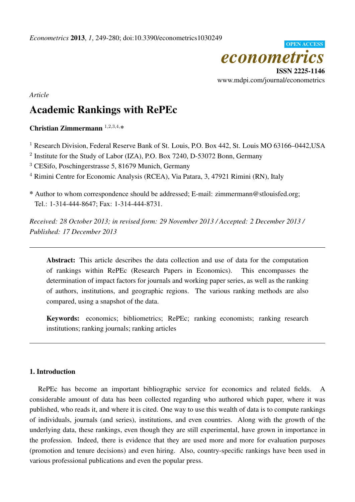

*Article*

# Academic Rankings with RePEc

# Christian Zimmermann  $1,2,3,4,*$

<sup>1</sup> Research Division, Federal Reserve Bank of St. Louis, P.O. Box 442, St. Louis MO 63166–0442, USA

<sup>2</sup> Institute for the Study of Labor (IZA), P.O. Box 7240, D-53072 Bonn, Germany

<sup>3</sup> CESifo, Poschingerstrasse 5, 81679 Munich, Germany

<sup>4</sup> Rimini Centre for Economic Analysis (RCEA), Via Patara, 3, 47921 Rimini (RN), Italy

\* Author to whom correspondence should be addressed; E-mail: zimmermann@stlouisfed.org; Tel.: 1-314-444-8647; Fax: 1-314-444-8731.

*Received: 28 October 2013; in revised form: 29 November 2013 / Accepted: 2 December 2013 / Published: 17 December 2013*

Abstract: This article describes the data collection and use of data for the computation of rankings within RePEc (Research Papers in Economics). This encompasses the determination of impact factors for journals and working paper series, as well as the ranking of authors, institutions, and geographic regions. The various ranking methods are also compared, using a snapshot of the data.

Keywords: economics; bibliometrics; RePEc; ranking economists; ranking research institutions; ranking journals; ranking articles

# 1. Introduction

RePEc has become an important bibliographic service for economics and related fields. A considerable amount of data has been collected regarding who authored which paper, where it was published, who reads it, and where it is cited. One way to use this wealth of data is to compute rankings of individuals, journals (and series), institutions, and even countries. Along with the growth of the underlying data, these rankings, even though they are still experimental, have grown in importance in the profession. Indeed, there is evidence that they are used more and more for evaluation purposes (promotion and tenure decisions) and even hiring. Also, country-specific rankings have been used in various professional publications and even the popular press.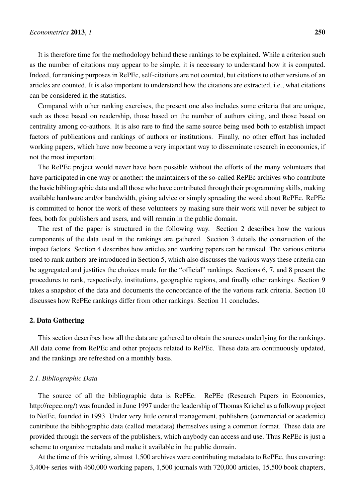It is therefore time for the methodology behind these rankings to be explained. While a criterion such as the number of citations may appear to be simple, it is necessary to understand how it is computed. Indeed, for ranking purposes in RePEc, self-citations are not counted, but citations to other versions of an articles are counted. It is also important to understand how the citations are extracted, i.e., what citations can be considered in the statistics.

Compared with other ranking exercises, the present one also includes some criteria that are unique, such as those based on readership, those based on the number of authors citing, and those based on centrality among co-authors. It is also rare to find the same source being used both to establish impact factors of publications and rankings of authors or institutions. Finally, no other effort has included working papers, which have now become a very important way to disseminate research in economics, if not the most important.

The RePEc project would never have been possible without the efforts of the many volunteers that have participated in one way or another: the maintainers of the so-called RePEc archives who contribute the basic bibliographic data and all those who have contributed through their programming skills, making available hardware and/or bandwidth, giving advice or simply spreading the word about RePEc. RePEc is committed to honor the work of these volunteers by making sure their work will never be subject to fees, both for publishers and users, and will remain in the public domain.

The rest of the paper is structured in the following way. Section 2 describes how the various components of the data used in the rankings are gathered. Section 3 details the construction of the impact factors. Section 4 describes how articles and working papers can be ranked. The various criteria used to rank authors are introduced in Section 5, which also discusses the various ways these criteria can be aggregated and justifies the choices made for the "official" rankings. Sections 6, 7, and 8 present the procedures to rank, respectively, institutions, geographic regions, and finally other rankings. Section 9 takes a snapshot of the data and documents the concordance of the the various rank criteria. Section 10 discusses how RePEc rankings differ from other rankings. Section 11 concludes.

#### 2. Data Gathering

This section describes how all the data are gathered to obtain the sources underlying for the rankings. All data come from RePEc and other projects related to RePEc. These data are continuously updated, and the rankings are refreshed on a monthly basis.

#### *2.1. Bibliographic Data*

The source of all the bibliographic data is RePEc. RePEc (Research Papers in Economics, http://repec.org/) was founded in June 1997 under the leadership of Thomas Krichel as a followup project to NetEc, founded in 1993. Under very little central management, publishers (commercial or academic) contribute the bibliographic data (called metadata) themselves using a common format. These data are provided through the servers of the publishers, which anybody can access and use. Thus RePEc is just a scheme to organize metadata and make it available in the public domain.

At the time of this writing, almost 1,500 archives were contributing metadata to RePEc, thus covering: 3,400+ series with 460,000 working papers, 1,500 journals with 720,000 articles, 15,500 book chapters,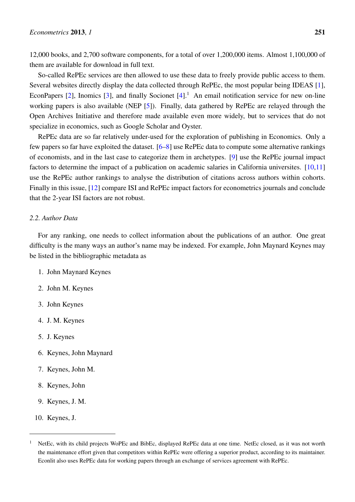12,000 books, and 2,700 software components, for a total of over 1,200,000 items. Almost 1,100,000 of them are available for download in full text.

So-called RePEc services are then allowed to use these data to freely provide public access to them. Several websites directly display the data collected through RePEc, the most popular being IDEAS [\[1\]](#page-30-0), EconPapers  $[2]$ , Inomics  $[3]$ , and finally Socionet  $[4]$ .<sup>1</sup> An email notification service for new on-line working papers is also available (NEP [\[5\]](#page-30-4)). Finally, data gathered by RePEc are relayed through the Open Archives Initiative and therefore made available even more widely, but to services that do not specialize in economics, such as Google Scholar and Oyster.

RePEc data are so far relatively under-used for the exploration of publishing in Economics. Only a few papers so far have exploited the dataset. [\[6](#page-30-5)[–8\]](#page-30-6) use RePEc data to compute some alternative rankings of economists, and in the last case to categorize them in archetypes. [\[9\]](#page-30-7) use the RePEc journal impact factors to determine the impact of a publication on academic salaries in California universites. [\[10,](#page-30-8)[11\]](#page-30-9) use the RePEc author rankings to analyse the distribution of citations across authors within cohorts. Finally in this issue, [\[12\]](#page-30-10) compare ISI and RePEc impact factors for econometrics journals and conclude that the 2-year ISI factors are not robust.

# *2.2. Author Data*

For any ranking, one needs to collect information about the publications of an author. One great difficulty is the many ways an author's name may be indexed. For example, John Maynard Keynes may be listed in the bibliographic metadata as

- 1. John Maynard Keynes
- 2. John M. Keynes
- 3. John Keynes
- 4. J. M. Keynes
- 5. J. Keynes
- 6. Keynes, John Maynard
- 7. Keynes, John M.
- 8. Keynes, John
- 9. Keynes, J. M.
- 10. Keynes, J.

<sup>&</sup>lt;sup>1</sup> NetEc, with its child projects WoPEc and BibEc, displayed RePEc data at one time. NetEc closed, as it was not worth the maintenance effort given that competitors within RePEc were offering a superior product, according to its maintainer. Econlit also uses RePEc data for working papers through an exchange of services agreement with RePEc.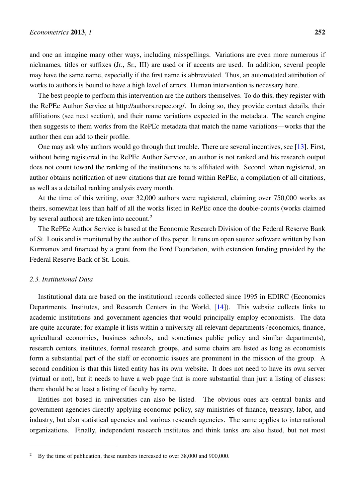and one an imagine many other ways, including misspellings. Variations are even more numerous if nicknames, titles or suffixes (Jr., Sr., III) are used or if accents are used. In addition, several people may have the same name, especially if the first name is abbreviated. Thus, an automatated attribution of works to authors is bound to have a high level of errors. Human intervention is necessary here.

The best people to perform this intervention are the authors themselves. To do this, they register with the RePEc Author Service at http://authors.repec.org/. In doing so, they provide contact details, their affiliations (see next section), and their name variations expected in the metadata. The search engine then suggests to them works from the RePEc metadata that match the name variations—works that the author then can add to their profile.

One may ask why authors would go through that trouble. There are several incentives, see [\[13\]](#page-30-11). First, without being registered in the RePEc Author Service, an author is not ranked and his research output does not count toward the ranking of the institutions he is affiliated with. Second, when registered, an author obtains notification of new citations that are found within RePEc, a compilation of all citations, as well as a detailed ranking analysis every month.

At the time of this writing, over 32,000 authors were registered, claiming over 750,000 works as theirs, somewhat less than half of all the works listed in RePEc once the double-counts (works claimed by several authors) are taken into account.<sup>2</sup>

The RePEc Author Service is based at the Economic Research Division of the Federal Reserve Bank of St. Louis and is monitored by the author of this paper. It runs on open source software written by Ivan Kurmanov and financed by a grant from the Ford Foundation, with extension funding provided by the Federal Reserve Bank of St. Louis.

#### *2.3. Institutional Data*

Institutional data are based on the institutional records collected since 1995 in EDIRC (Economics Departments, Institutes, and Research Centers in the World, [\[14\]](#page-30-12)). This website collects links to academic institutions and government agencies that would principally employ economists. The data are quite accurate; for example it lists within a university all relevant departments (economics, finance, agricultural economics, business schools, and sometimes public policy and similar departments), research centers, institutes, formal research groups, and some chairs are listed as long as economists form a substantial part of the staff or economic issues are prominent in the mission of the group. A second condition is that this listed entity has its own website. It does not need to have its own server (virtual or not), but it needs to have a web page that is more substantial than just a listing of classes: there should be at least a listing of faculty by name.

Entities not based in universities can also be listed. The obvious ones are central banks and government agencies directly applying economic policy, say ministries of finance, treasury, labor, and industry, but also statistical agencies and various research agencies. The same applies to international organizations. Finally, independent research institutes and think tanks are also listed, but not most

<sup>&</sup>lt;sup>2</sup> By the time of publication, these numbers increased to over 38,000 and 900,000.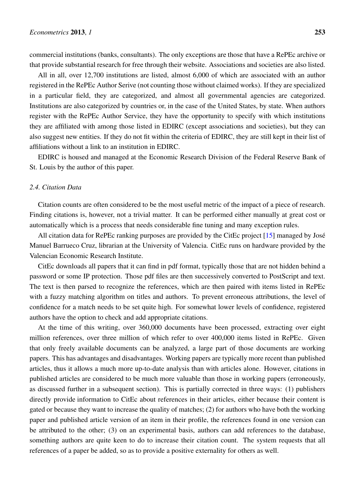commercial institutions (banks, consultants). The only exceptions are those that have a RePEc archive or that provide substantial research for free through their website. Associations and societies are also listed.

All in all, over 12,700 institutions are listed, almost 6,000 of which are associated with an author registered in the RePEc Author Serive (not counting those without claimed works). If they are specialized in a particular field, they are categorized, and almost all governmental agencies are categorized. Institutions are also categorized by countries or, in the case of the United States, by state. When authors register with the RePEc Author Service, they have the opportunity to specify with which institutions they are affiliated with among those listed in EDIRC (except associations and societies), but they can also suggest new entities. If they do not fit within the criteria of EDIRC, they are still kept in their list of affiliations without a link to an institution in EDIRC.

EDIRC is housed and managed at the Economic Research Division of the Federal Reserve Bank of St. Louis by the author of this paper.

# *2.4. Citation Data*

Citation counts are often considered to be the most useful metric of the impact of a piece of research. Finding citations is, however, not a trivial matter. It can be performed either manually at great cost or automatically which is a process that needs considerable fine tuning and many exception rules.

All citation data for RePEc ranking purposes are provided by the CitEc project [\[15\]](#page-30-13) managed by José Manuel Barrueco Cruz, librarian at the University of Valencia. CitEc runs on hardware provided by the Valencian Economic Research Institute.

CitEc downloads all papers that it can find in pdf format, typically those that are not hidden behind a password or some IP protection. Those pdf files are then successively converted to PostScript and text. The text is then parsed to recognize the references, which are then paired with items listed in RePEc with a fuzzy matching algorithm on titles and authors. To prevent erroneous attributions, the level of confidence for a match needs to be set quite high. For somewhat lower levels of confidence, registered authors have the option to check and add appropriate citations.

At the time of this writing, over 360,000 documents have been processed, extracting over eight million references, over three million of which refer to over 400,000 items listed in RePEc. Given that only freely available documents can be analyzed, a large part of those documents are working papers. This has advantages and disadvantages. Working papers are typically more recent than published articles, thus it allows a much more up-to-date analysis than with articles alone. However, citations in published articles are considered to be much more valuable than those in working papers (erroneously, as discussed further in a subsequent section). This is partially corrected in three ways: (1) publishers directly provide information to CitEc about references in their articles, either because their content is gated or because they want to increase the quality of matches; (2) for authors who have both the working paper and published article version of an item in their profile, the references found in one version can be attributed to the other; (3) on an experimental basis, authors can add references to the database, something authors are quite keen to do to increase their citation count. The system requests that all references of a paper be added, so as to provide a positive externality for others as well.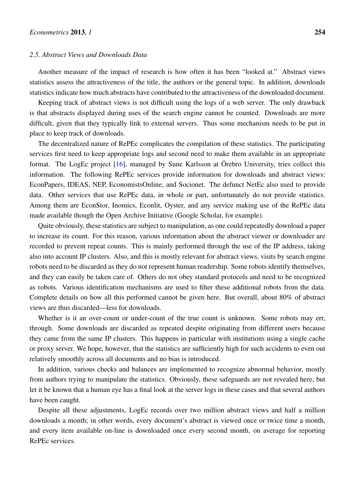## *2.5. Abstract Views and Downloads Data*

Another measure of the impact of research is how often it has been "looked at." Abstract views statistics assess the attractiveness of the title, the authors or the general topic. In addition, downloads statistics indicate how much abstracts have contributed to the attractiveness of the downloaded document.

Keeping track of abstract views is not difficult using the logs of a web server. The only drawback is that abstracts displayed during uses of the search engine cannot be counted. Downloads are more difficult, given that they typically link to external servers. Thus some mechanism needs to be put in place to keep track of downloads.

The decentralized nature of RePEc complicates the compilation of these statistics. The participating services first need to keep appropriate logs and second need to make them available in an appropriate format. The LogEc project  $[16]$ , managed by Sune Karlsson at Örebro University, tries collect this information. The following RePEc services provide information for downloads and abstract views: EconPapers, IDEAS, NEP, EconomistsOnline, and Socionet. The defunct NetEc also used to provide data. Other services that use RePEc data, in whole or part, unfortunately do not provide statistics. Among them are EconStor, Inomics, Econlit, Oyster, and any service making use of the RePEc data made available though the Open Archive Initiative (Google Scholar, for example).

Quite obviously, these statistics are subject to manipulation, as one could repeatedly download a paper to increase its count. For this reason, various information about the abstract viewer or downloader are recorded to prevent repeat counts. This is mainly performed through the use of the IP address, taking also into account IP clusters. Also, and this is mostly relevant for abstract views, visits by search engine robots need to be discarded as they do not represent human readership. Some robots identify themselves, and they can easily be taken care of. Others do not obey standard protocols and need to be recognized as robots. Various identification mechanisms are used to filter these additional robots from the data. Complete details on how all this performed cannot be given here. But overall, about 80% of abstract views are thus discarded—less for downloads.

Whether is it an over-count or under-count of the true count is unknown. Some robots may err, through. Some downloads are discarded as repeated despite originating from different users because they came from the same IP clusters. This happens in particular with institutions using a single cache or proxy server. We hope, however, that the statistics are sufficiently high for such accidents to even out relatively smoothly across all documents and no bias is introduced.

In addition, various checks and balances are implemented to recognize abnormal behavior, mostly from authors trying to manipulate the statistics. Obviously, these safeguards are not revealed here, but let it be known that a human eye has a final look at the server logs in these cases and that several authors have been caught.

Despite all these adjustments, LogEc records over two million abstract views and half a million downloads a month; in other words, every document's abstract is viewed once or twice time a month, and every item available on-line is downloaded once every second month, on average for reporting RePEc services.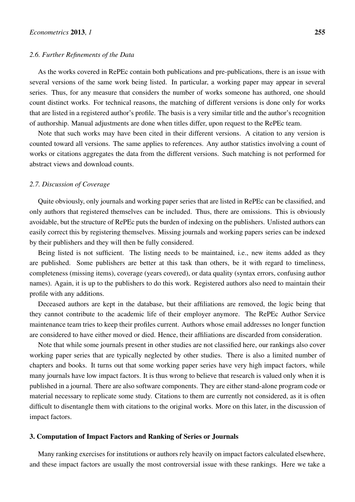#### *2.6. Further Refinements of the Data*

As the works covered in RePEc contain both publications and pre-publications, there is an issue with several versions of the same work being listed. In particular, a working paper may appear in several series. Thus, for any measure that considers the number of works someone has authored, one should count distinct works. For technical reasons, the matching of different versions is done only for works that are listed in a registered author's profile. The basis is a very similar title and the author's recognition of authorship. Manual adjustments are done when titles differ, upon request to the RePEc team.

Note that such works may have been cited in their different versions. A citation to any version is counted toward all versions. The same applies to references. Any author statistics involving a count of works or citations aggregates the data from the different versions. Such matching is not performed for abstract views and download counts.

#### *2.7. Discussion of Coverage*

Quite obviously, only journals and working paper series that are listed in RePEc can be classified, and only authors that registered themselves can be included. Thus, there are omissions. This is obviously avoidable, but the structure of RePEc puts the burden of indexing on the publishers. Unlisted authors can easily correct this by registering themselves. Missing journals and working papers series can be indexed by their publishers and they will then be fully considered.

Being listed is not sufficient. The listing needs to be maintained, i.e., new items added as they are published. Some publishers are better at this task than others, be it with regard to timeliness, completeness (missing items), coverage (years covered), or data quality (syntax errors, confusing author names). Again, it is up to the publishers to do this work. Registered authors also need to maintain their profile with any additions.

Deceased authors are kept in the database, but their affiliations are removed, the logic being that they cannot contribute to the academic life of their employer anymore. The RePEc Author Service maintenance team tries to keep their profiles current. Authors whose email addresses no longer function are considered to have either moved or died. Hence, their affiliations are discarded from consideration.

Note that while some journals present in other studies are not classified here, our rankings also cover working paper series that are typically neglected by other studies. There is also a limited number of chapters and books. It turns out that some working paper series have very high impact factors, while many journals have low impact factors. It is thus wrong to believe that research is valued only when it is published in a journal. There are also software components. They are either stand-alone program code or material necessary to replicate some study. Citations to them are currently not considered, as it is often difficult to disentangle them with citations to the original works. More on this later, in the discussion of impact factors.

# 3. Computation of Impact Factors and Ranking of Series or Journals

Many ranking exercises for institutions or authors rely heavily on impact factors calculated elsewhere, and these impact factors are usually the most controversial issue with these rankings. Here we take a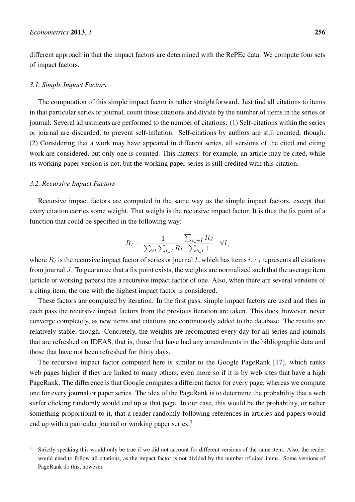different approach in that the impact factors are determined with the RePEc data. We compute four sets of impact factors.

#### *3.1. Simple Impact Factors*

The computation of this simple impact factor is rather straightforward. Just find all citations to items in that particular series or journal, count those citations and divide by the number of items in the series or journal. Several adjustments are performed to the number of citations: (1) Self-citations within the series or journal are discarded, to prevent self-inflation. Self-citations by authors are still counted, though. (2) Considering that a work may have appeared in different series, all versions of the cited and citing work are considered, but only one is counted. This matters: for example, an article may be cited, while its working paper version is not, but the working paper series is still credited with this citation.

#### *3.2. Recursive Impact Factors*

Recursive impact factors are computed in the same way as the simple impact factors, except that every citation carries some weight. That weight is the recursive impact factor. It is thus the fix point of a function that could be specified in the following way:

$$
R_I = \frac{1}{\sum_{\forall I} \sum_{i \in I} R_I} \frac{\sum_{c_J \in I} R_J}{\sum_{i \in I} 1} \quad \forall I,
$$

where  $R_I$  is the recursive impact factor of series or journal I, which has items i.  $c_J$  represents all citations from journal J. To guarantee that a fix point exists, the weights are normalized such that the average item (article or working papers) has a recursive impact factor of one. Also, when there are several versions of a citing item, the one with the highest impact factor is considered.

These factors are computed by iteration. In the first pass, simple impact factors are used and then in each pass the recursive impact factors from the previous iteration are taken. This does, however, never converge completely, as new items and citations are continuously added to the database. The results are relatively stable, though. Concretely, the weights are recomputed every day for all series and journals that are refreshed on IDEAS, that is, those that have had any amendments in the bibliographic data and those that have not been refreshed for thirty days.

The recursive impact factor computed here is similar to the Google PageRank [\[17\]](#page-30-15), which ranks web pages higher if they are linked to many others, even more so if it is by web sites that have a high PageRank. The difference is that Google computes a different factor for every page, whereas we compute one for every journal or paper series. The idea of the PageRank is to determine the probability that a web surfer clicking randomly would end up at that page. In our case, this would be the probability, or rather something proportional to it, that a reader randomly following references in articles and papers would end up with a particular journal or working paper series.<sup>3</sup>

 $3$  Strictly speaking this would only be true if we did not account for different versions of the same item. Also, the reader would need to follow all citations, as the impact factor is not divided by the number of cited items. Some versions of PageRank do this, however.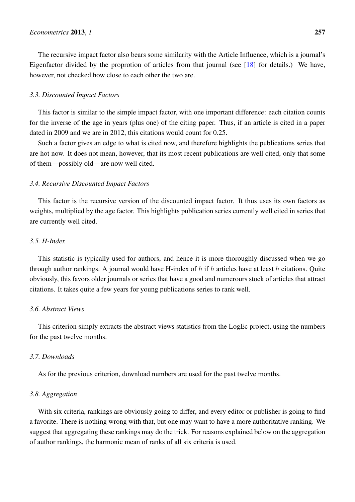The recursive impact factor also bears some similarity with the Article Influence, which is a journal's Eigenfactor divided by the proprotion of articles from that journal (see [\[18\]](#page-30-16) for details.) We have, however, not checked how close to each other the two are.

# *3.3. Discounted Impact Factors*

This factor is similar to the simple impact factor, with one important difference: each citation counts for the inverse of the age in years (plus one) of the citing paper. Thus, if an article is cited in a paper dated in 2009 and we are in 2012, this citations would count for 0.25.

Such a factor gives an edge to what is cited now, and therefore highlights the publications series that are hot now. It does not mean, however, that its most recent publications are well cited, only that some of them—possibly old—are now well cited.

#### *3.4. Recursive Discounted Impact Factors*

This factor is the recursive version of the discounted impact factor. It thus uses its own factors as weights, multiplied by the age factor. This highlights publication series currently well cited in series that are currently well cited.

# *3.5. H-Index*

This statistic is typically used for authors, and hence it is more thoroughly discussed when we go through author rankings. A journal would have H-index of  $h$  if  $h$  articles have at least  $h$  citations. Quite obviously, this favors older journals or series that have a good and numerours stock of articles that attract citations. It takes quite a few years for young publications series to rank well.

## *3.6. Abstract Views*

This criterion simply extracts the abstract views statistics from the LogEc project, using the numbers for the past twelve months.

### *3.7. Downloads*

As for the previous criterion, download numbers are used for the past twelve months.

# *3.8. Aggregation*

With six criteria, rankings are obviously going to differ, and every editor or publisher is going to find a favorite. There is nothing wrong with that, but one may want to have a more authoritative ranking. We suggest that aggregating these rankings may do the trick. For reasons explained below on the aggregation of author rankings, the harmonic mean of ranks of all six criteria is used.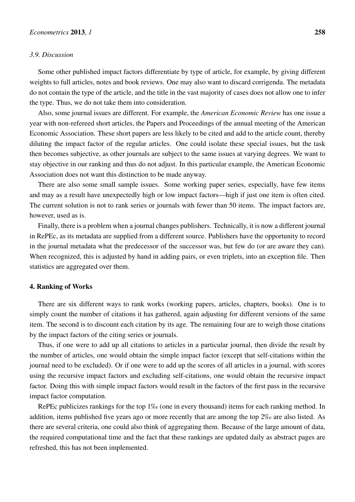#### *3.9. Discussion*

Some other published impact factors differentiate by type of article, for example, by giving different weights to full articles, notes and book reviews. One may also want to discard corrigenda. The metadata do not contain the type of the article, and the title in the vast majority of cases does not allow one to infer the type. Thus, we do not take them into consideration.

Also, some journal issues are different. For example, the *American Economic Review* has one issue a year with non-refereed short articles, the Papers and Proceedings of the annual meeting of the American Economic Association. These short papers are less likely to be cited and add to the article count, thereby diluting the impact factor of the regular articles. One could isolate these special issues, but the task then becomes subjective, as other journals are subject to the same issues at varying degrees. We want to stay objective in our ranking and thus do not adjust. In this particular example, the American Economic Association does not want this distinction to be made anyway.

There are also some small sample issues. Some working paper series, especially, have few items and may as a result have unexpectedly high or low impact factors—high if just one item is often cited. The current solution is not to rank series or journals with fewer than 50 items. The impact factors are, however, used as is.

Finally, there is a problem when a journal changes publishers. Technically, it is now a different journal in RePEc, as its metadata are supplied from a different source. Publishers have the opportunity to record in the journal metadata what the predecessor of the successor was, but few do (or are aware they can). When recognized, this is adjusted by hand in adding pairs, or even triplets, into an exception file. Then statistics are aggregated over them.

## 4. Ranking of Works

There are six different ways to rank works (working papers, articles, chapters, books). One is to simply count the number of citations it has gathered, again adjusting for different versions of the same item. The second is to discount each citation by its age. The remaining four are to weigh those citations by the impact factors of the citing series or journals.

Thus, if one were to add up all citations to articles in a particular journal, then divide the result by the number of articles, one would obtain the simple impact factor (except that self-citations within the journal need to be excluded). Or if one were to add up the scores of all articles in a journal, with scores using the recursive impact factors and excluding self-citations, one would obtain the recursive impact factor. Doing this with simple impact factors would result in the factors of the first pass in the recursive impact factor computation.

RePEc publicizes rankings for the top 1‰ (one in every thousand) items for each ranking method. In addition, items published five years ago or more recently that are among the top 2‰ are also listed. As there are several criteria, one could also think of aggregating them. Because of the large amount of data, the required computational time and the fact that these rankings are updated daily as abstract pages are refreshed, this has not been implemented.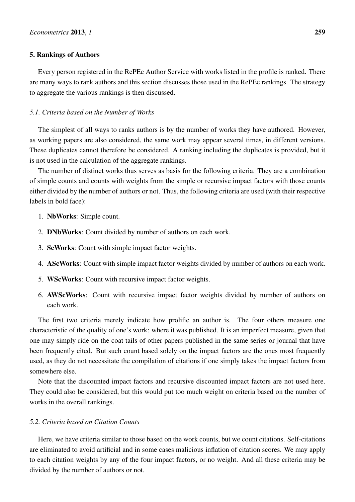#### 5. Rankings of Authors

Every person registered in the RePEc Author Service with works listed in the profile is ranked. There are many ways to rank authors and this section discusses those used in the RePEc rankings. The strategy to aggregate the various rankings is then discussed.

#### *5.1. Criteria based on the Number of Works*

The simplest of all ways to ranks authors is by the number of works they have authored. However, as working papers are also considered, the same work may appear several times, in different versions. These duplicates cannot therefore be considered. A ranking including the duplicates is provided, but it is not used in the calculation of the aggregate rankings.

The number of distinct works thus serves as basis for the following criteria. They are a combination of simple counts and counts with weights from the simple or recursive impact factors with those counts either divided by the number of authors or not. Thus, the following criteria are used (with their respective labels in bold face):

- 1. NbWorks: Simple count.
- 2. DNbWorks: Count divided by number of authors on each work.
- 3. ScWorks: Count with simple impact factor weights.
- 4. AScWorks: Count with simple impact factor weights divided by number of authors on each work.
- 5. WScWorks: Count with recursive impact factor weights.
- 6. AWScWorks: Count with recursive impact factor weights divided by number of authors on each work.

The first two criteria merely indicate how prolific an author is. The four others measure one characteristic of the quality of one's work: where it was published. It is an imperfect measure, given that one may simply ride on the coat tails of other papers published in the same series or journal that have been frequently cited. But such count based solely on the impact factors are the ones most frequently used, as they do not necessitate the compilation of citations if one simply takes the impact factors from somewhere else.

Note that the discounted impact factors and recursive discounted impact factors are not used here. They could also be considered, but this would put too much weight on criteria based on the number of works in the overall rankings.

# *5.2. Criteria based on Citation Counts*

Here, we have criteria similar to those based on the work counts, but we count citations. Self-citations are eliminated to avoid artificial and in some cases malicious inflation of citation scores. We may apply to each citation weights by any of the four impact factors, or no weight. And all these criteria may be divided by the number of authors or not.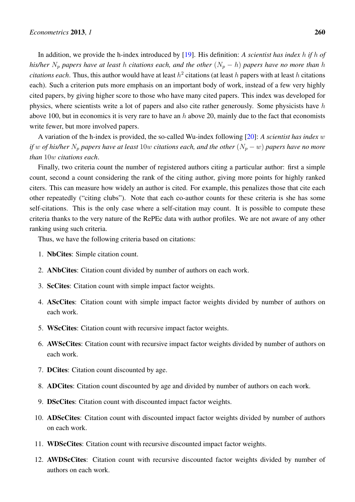In addition, we provide the h-index introduced by [\[19\]](#page-30-17). His definition: *A scientist has index* h *if* h *of his/her*  $N_p$  *papers have at least h citations each, and the other*  $(N_p - h)$  *papers have no more than* h *citations each*. Thus, this author would have at least  $h^2$  citations (at least h papers with at least h citations each). Such a criterion puts more emphasis on an important body of work, instead of a few very highly cited papers, by giving higher score to those who have many cited papers. This index was developed for physics, where scientists write a lot of papers and also cite rather generously. Some physicists have h above 100, but in economics it is very rare to have an  $h$  above 20, mainly due to the fact that economists write fewer, but more involved papers.

A variation of the h-index is provided, the so-called Wu-index following [\[20\]](#page-30-18): *A scientist has index* w *if* w of his/her  $N_p$  papers have at least 10w citations each, and the other  $(N_p - w)$  papers have no more *than* 10w *citations each*.

Finally, two criteria count the number of registered authors citing a particular author: first a simple count, second a count considering the rank of the citing author, giving more points for highly ranked citers. This can measure how widely an author is cited. For example, this penalizes those that cite each other repeatedly ("citing clubs"). Note that each co-author counts for these criteria is she has some self-citations. This is the only case where a self-citation may count. It is possible to compute these criteria thanks to the very nature of the RePEc data with author profiles. We are not aware of any other ranking using such criteria.

Thus, we have the following criteria based on citations:

- 1. NbCites: Simple citation count.
- 2. ANbCites: Citation count divided by number of authors on each work.
- 3. ScCites: Citation count with simple impact factor weights.
- 4. AScCites: Citation count with simple impact factor weights divided by number of authors on each work.
- 5. WScCites: Citation count with recursive impact factor weights.
- 6. AWScCites: Citation count with recursive impact factor weights divided by number of authors on each work.
- 7. DCites: Citation count discounted by age.
- 8. ADCites: Citation count discounted by age and divided by number of authors on each work.
- 9. DScCites: Citation count with discounted impact factor weights.
- 10. ADScCites: Citation count with discounted impact factor weights divided by number of authors on each work.
- 11. WDScCites: Citation count with recursive discounted impact factor weights.
- 12. AWDScCites: Citation count with recursive discounted factor weights divided by number of authors on each work.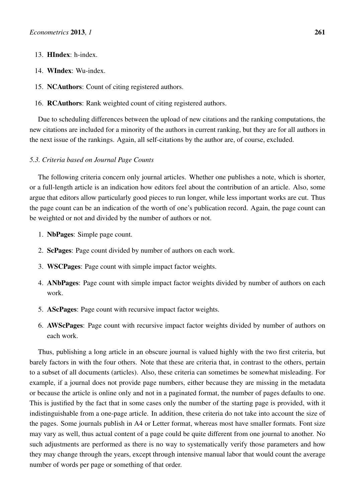- 13. HIndex: h-index.
- 14. WIndex: Wu-index.
- 15. NCAuthors: Count of citing registered authors.
- 16. RCAuthors: Rank weighted count of citing registered authors.

Due to scheduling differences between the upload of new citations and the ranking computations, the new citations are included for a minority of the authors in current ranking, but they are for all authors in the next issue of the rankings. Again, all self-citations by the author are, of course, excluded.

# *5.3. Criteria based on Journal Page Counts*

The following criteria concern only journal articles. Whether one publishes a note, which is shorter, or a full-length article is an indication how editors feel about the contribution of an article. Also, some argue that editors allow particularly good pieces to run longer, while less important works are cut. Thus the page count can be an indication of the worth of one's publication record. Again, the page count can be weighted or not and divided by the number of authors or not.

- 1. NbPages: Simple page count.
- 2. ScPages: Page count divided by number of authors on each work.
- 3. WSCPages: Page count with simple impact factor weights.
- 4. AN**bPages**: Page count with simple impact factor weights divided by number of authors on each work.
- 5. AScPages: Page count with recursive impact factor weights.
- 6. AWScPages: Page count with recursive impact factor weights divided by number of authors on each work.

Thus, publishing a long article in an obscure journal is valued highly with the two first criteria, but barely factors in with the four others. Note that these are criteria that, in contrast to the others, pertain to a subset of all documents (articles). Also, these criteria can sometimes be somewhat misleading. For example, if a journal does not provide page numbers, either because they are missing in the metadata or because the article is online only and not in a paginated format, the number of pages defaults to one. This is justified by the fact that in some cases only the number of the starting page is provided, with it indistinguishable from a one-page article. In addition, these criteria do not take into account the size of the pages. Some journals publish in A4 or Letter format, whereas most have smaller formats. Font size may vary as well, thus actual content of a page could be quite different from one journal to another. No such adjustments are performed as there is no way to systematically verify those parameters and how they may change through the years, except through intensive manual labor that would count the average number of words per page or something of that order.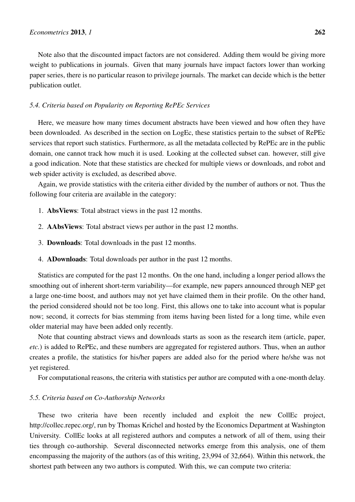Note also that the discounted impact factors are not considered. Adding them would be giving more weight to publications in journals. Given that many journals have impact factors lower than working paper series, there is no particular reason to privilege journals. The market can decide which is the better publication outlet.

# *5.4. Criteria based on Popularity on Reporting RePEc Services*

Here, we measure how many times document abstracts have been viewed and how often they have been downloaded. As described in the section on LogEc, these statistics pertain to the subset of RePEc services that report such statistics. Furthermore, as all the metadata collected by RePEc are in the public domain, one cannot track how much it is used. Looking at the collected subset can. however, still give a good indication. Note that these statistics are checked for multiple views or downloads, and robot and web spider activity is excluded, as described above.

Again, we provide statistics with the criteria either divided by the number of authors or not. Thus the following four criteria are available in the category:

- 1. AbsViews: Total abstract views in the past 12 months.
- 2. AAbsViews: Total abstract views per author in the past 12 months.
- 3. Downloads: Total downloads in the past 12 months.
- 4. ADownloads: Total downloads per author in the past 12 months.

Statistics are computed for the past 12 months. On the one hand, including a longer period allows the smoothing out of inherent short-term variability—for example, new papers announced through NEP get a large one-time boost, and authors may not yet have claimed them in their profile. On the other hand, the period considered should not be too long. First, this allows one to take into account what is popular now; second, it corrects for bias stemming from items having been listed for a long time, while even older material may have been added only recently.

Note that counting abstract views and downloads starts as soon as the research item (article, paper, *etc.*) is added to RePEc, and these numbers are aggregated for registered authors. Thus, when an author creates a profile, the statistics for his/her papers are added also for the period where he/she was not yet registered.

For computational reasons, the criteria with statistics per author are computed with a one-month delay.

# *5.5. Criteria based on Co-Authorship Networks*

These two criteria have been recently included and exploit the new CollEc project, http://collec.repec.org/, run by Thomas Krichel and hosted by the Economics Department at Washington University. CollEc looks at all registered authors and computes a network of all of them, using their ties through co-authorship. Several disconnected networks emerge from this analysis, one of them encompassing the majority of the authors (as of this writing, 23,994 of 32,664). Within this network, the shortest path between any two authors is computed. With this, we can compute two criteria: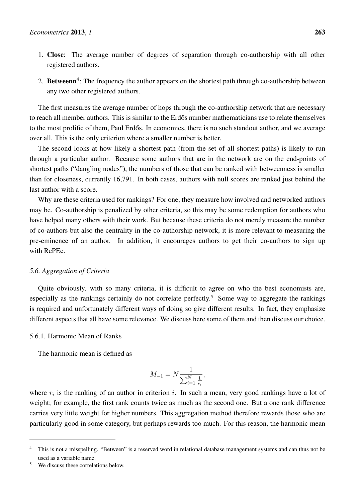- 1. Close: The average number of degrees of separation through co-authorship with all other registered authors.
- 2. Betweenn<sup>4</sup>: The frequency the author appears on the shortest path through co-authorship between any two other registered authors.

The first measures the average number of hops through the co-authorship network that are necessary to reach all member authors. This is similar to the Erdős number mathematicians use to relate themselves to the most prolific of them, Paul Erdős. In economics, there is no such standout author, and we average over all. This is the only criterion where a smaller number is better.

The second looks at how likely a shortest path (from the set of all shortest paths) is likely to run through a particular author. Because some authors that are in the network are on the end-points of shortest paths ("dangling nodes"), the numbers of those that can be ranked with betweenness is smaller than for closeness, currently 16,791. In both cases, authors with null scores are ranked just behind the last author with a score.

Why are these criteria used for rankings? For one, they measure how involved and networked authors may be. Co-authorship is penalized by other criteria, so this may be some redemption for authors who have helped many others with their work. But because these criteria do not merely measure the number of co-authors but also the centrality in the co-authorship network, it is more relevant to measuring the pre-eminence of an author. In addition, it encourages authors to get their co-authors to sign up with RePEc.

# *5.6. Aggregation of Criteria*

Quite obviously, with so many criteria, it is difficult to agree on who the best economists are, especially as the rankings certainly do not correlate perfectly.<sup>5</sup> Some way to aggregate the rankings is required and unfortunately different ways of doing so give different results. In fact, they emphasize different aspects that all have some relevance. We discuss here some of them and then discuss our choice.

# 5.6.1. Harmonic Mean of Ranks

The harmonic mean is defined as

$$
M_{-1} = N \frac{1}{\sum_{i=1}^{N} \frac{1}{r_i}},
$$

where  $r_i$  is the ranking of an author in criterion i. In such a mean, very good rankings have a lot of weight; for example, the first rank counts twice as much as the second one. But a one rank difference carries very little weight for higher numbers. This aggregation method therefore rewards those who are particularly good in some category, but perhaps rewards too much. For this reason, the harmonic mean

This is not a misspelling. "Between" is a reserved word in relational database management systems and can thus not be used as a variable name.

We discuss these correlations below.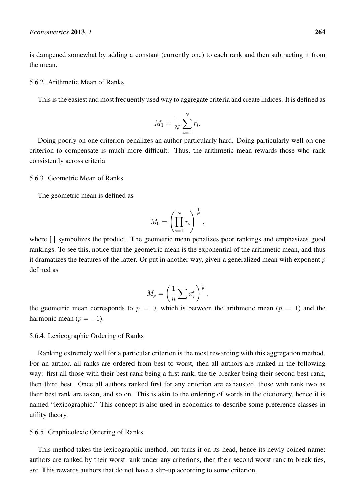is dampened somewhat by adding a constant (currently one) to each rank and then subtracting it from the mean.

# 5.6.2. Arithmetic Mean of Ranks

This is the easiest and most frequently used way to aggregate criteria and create indices. It is defined as

$$
M_1 = \frac{1}{N} \sum_{i=1}^{N} r_i.
$$

Doing poorly on one criterion penalizes an author particularly hard. Doing particularly well on one criterion to compensate is much more difficult. Thus, the arithmetic mean rewards those who rank consistently across criteria.

#### 5.6.3. Geometric Mean of Ranks

The geometric mean is defined as

$$
M_0 = \left(\prod_{i=1}^N r_i\right)^{\frac{1}{N}},
$$

where  $\prod$  symbolizes the product. The geometric mean penalizes poor rankings and emphasizes good rankings. To see this, notice that the geometric mean is the exponential of the arithmetic mean, and thus it dramatizes the features of the latter. Or put in another way, given a generalized mean with exponent  $p$ defined as

$$
M_p = \left(\frac{1}{n}\sum x_i^p\right)^{\frac{1}{p}},
$$

the geometric mean corresponds to  $p = 0$ , which is between the arithmetic mean  $(p = 1)$  and the harmonic mean  $(p = -1)$ .

#### 5.6.4. Lexicographic Ordering of Ranks

Ranking extremely well for a particular criterion is the most rewarding with this aggregation method. For an author, all ranks are ordered from best to worst, then all authors are ranked in the following way: first all those with their best rank being a first rank, the tie breaker being their second best rank, then third best. Once all authors ranked first for any criterion are exhausted, those with rank two as their best rank are taken, and so on. This is akin to the ordering of words in the dictionary, hence it is named "lexicographic." This concept is also used in economics to describe some preference classes in utility theory.

#### 5.6.5. Graphicolexic Ordering of Ranks

This method takes the lexicographic method, but turns it on its head, hence its newly coined name: authors are ranked by their worst rank under any criterions, then their second worst rank to break ties, *etc.* This rewards authors that do not have a slip-up according to some criterion.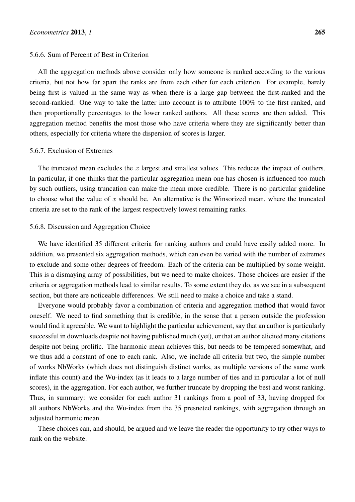#### 5.6.6. Sum of Percent of Best in Criterion

All the aggregation methods above consider only how someone is ranked according to the various criteria, but not how far apart the ranks are from each other for each criterion. For example, barely being first is valued in the same way as when there is a large gap between the first-ranked and the second-rankied. One way to take the latter into account is to attribute 100% to the first ranked, and then proportionally percentages to the lower ranked authors. All these scores are then added. This aggregation method benefits the most those who have criteria where they are significantly better than others, especially for criteria where the dispersion of scores is larger.

## 5.6.7. Exclusion of Extremes

The truncated mean excludes the x largest and smallest values. This reduces the impact of outliers. In particular, if one thinks that the particular aggregation mean one has chosen is influenced too much by such outliers, using truncation can make the mean more credible. There is no particular guideline to choose what the value of  $x$  should be. An alternative is the Winsorized mean, where the truncated criteria are set to the rank of the largest respectively lowest remaining ranks.

#### 5.6.8. Discussion and Aggregation Choice

We have identified 35 different criteria for ranking authors and could have easily added more. In addition, we presented six aggregation methods, which can even be varied with the number of extremes to exclude and some other degrees of freedom. Each of the criteria can be multiplied by some weight. This is a dismaying array of possibilities, but we need to make choices. Those choices are easier if the criteria or aggregation methods lead to similar results. To some extent they do, as we see in a subsequent section, but there are noticeable differences. We still need to make a choice and take a stand.

Everyone would probably favor a combination of criteria and aggregation method that would favor oneself. We need to find something that is credible, in the sense that a person outside the profession would find it agreeable. We want to highlight the particular achievement, say that an author is particularly successful in downloads despite not having published much (yet), or that an author elicited many citations despite not being prolific. The harmonic mean achieves this, but needs to be tempered somewhat, and we thus add a constant of one to each rank. Also, we include all criteria but two, the simple number of works NbWorks (which does not distinguish distinct works, as multiple versions of the same work inflate this count) and the Wu-index (as it leads to a large number of ties and in particular a lot of null scores), in the aggregation. For each author, we further truncate by dropping the best and worst ranking. Thus, in summary: we consider for each author 31 rankings from a pool of 33, having dropped for all authors NbWorks and the Wu-index from the 35 presneted rankings, with aggregation through an adjusted harmonic mean.

These choices can, and should, be argued and we leave the reader the opportunity to try other ways to rank on the website.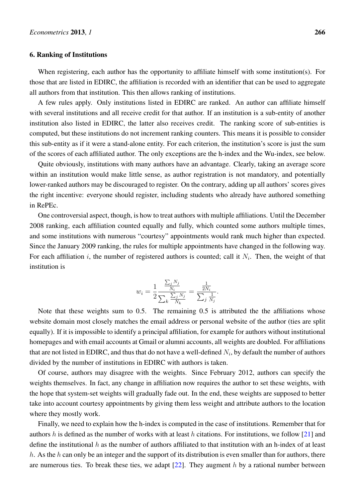#### 6. Ranking of Institutions

When registering, each author has the opportunity to affiliate himself with some institution(s). For those that are listed in EDIRC, the affiliation is recorded with an identifier that can be used to aggregate all authors from that institution. This then allows ranking of institutions.

A few rules apply. Only institutions listed in EDIRC are ranked. An author can affiliate himself with several institutions and all receive credit for that author. If an institution is a sub-entity of another institution also listed in EDIRC, the latter also receives credit. The ranking score of sub-entities is computed, but these institutions do not increment ranking counters. This means it is possible to consider this sub-entity as if it were a stand-alone entity. For each criterion, the institution's score is just the sum of the scores of each affiliated author. The only exceptions are the h-index and the Wu-index, see below.

Quite obviously, institutions with many authors have an advantage. Clearly, taking an average score within an institution would make little sense, as author registration is not mandatory, and potentially lower-ranked authors may be discouraged to register. On the contrary, adding up all authors' scores gives the right incentive: everyone should register, including students who already have authored something in RePEc.

One controversial aspect, though, is how to treat authors with multiple affiliations. Until the December 2008 ranking, each affiliation counted equally and fully, which counted some authors multiple times, and some institutions with numerous "courtesy" appointments would rank much higher than expected. Since the January 2009 ranking, the rules for multiple appointments have changed in the following way. For each affiliation *i*, the number of registered authors is counted; call it  $N_i$ . Then, the weight of that institution is

$$
w_i = \frac{1}{2} \frac{\frac{\sum_j N_j}{N_i}}{\sum_k \frac{\sum_j N_j}{N_k}} = \frac{\frac{1}{2N_i}}{\sum_j \frac{1}{N_j}}.
$$

Note that these weights sum to 0.5. The remaining 0.5 is attributed the the affiliations whose website domain most closely matches the email address or personal website of the author (ties are split equally). If it is impossible to identify a principal affiliation, for example for authors without institutional homepages and with email accounts at Gmail or alumni accounts, all weights are doubled. For affiliations that are not listed in EDIRC, and thus that do not have a well-defined  $N_i$ , by default the number of authors divided by the number of institutions in EDIRC with authors is taken.

Of course, authors may disagree with the weights. Since February 2012, authors can specify the weights themselves. In fact, any change in affiliation now requires the author to set these weights, with the hope that system-set weights will gradually fade out. In the end, these weights are supposed to better take into account courtesy appointments by giving them less weight and attribute authors to the location where they mostly work.

Finally, we need to explain how the h-index is computed in the case of institutions. Remember that for authors h is defined as the number of works with at least h citations. For institutions, we follow  $[21]$  and define the institutional h as the number of authors affiliated to that institution with an h-index of at least h. As the h can only be an integer and the support of its distribution is even smaller than for authors, there are numerous ties. To break these ties, we adapt  $[22]$ . They augment h by a rational number between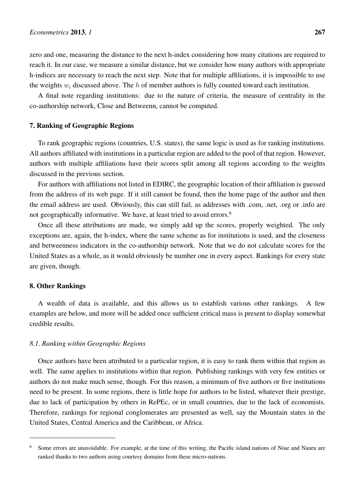zero and one, measuring the distance to the next h-index considering how many citations are required to reach it. In our case, we measure a similar distance, but we consider how many authors with appropriate h-indices are necessary to reach the next step. Note that for multiple affiliations, it is impossible to use the weights  $w_i$  discussed above. The h of member authors is fully counted toward each institution.

A final note regarding institutions: due to the nature of criteria, the measure of centrality in the co-authorship network, Close and Betweenn, cannot be computed.

# 7. Ranking of Geographic Regions

To rank geographic regions (countries, U.S. states), the same logic is used as for ranking institutions. All authors affiliated with institutions in a particular region are added to the pool of that region. However, authors with multiple affiliations have their scores split among all regions according to the weights discussed in the previous section.

For authors with affiliations not listed in EDIRC, the geographic location of their affiliation is guessed from the address of its web page. If it still cannot be found, then the home page of the author and then the email address are used. Obviously, this can still fail, as addresses with .com, .net, .org or .info are not geographically informative. We have, at least tried to avoid errors.<sup>6</sup>

Once all these attributions are made, we simply add up the scores, properly weighted. The only exceptions are, again, the h-index, where the same scheme as for institutions is used, and the closeness and betweenness indicators in the co-authorship network. Note that we do not calculate scores for the United States as a whole, as it would obviously be number one in every aspect. Rankings for every state are given, though.

# 8. Other Rankings

A wealth of data is available, and this allows us to establish various other rankings. A few examples are below, and more will be added once sufficient critical mass is present to display somewhat credible results.

# *8.1. Ranking within Geographic Regions*

Once authors have been attributed to a particular region, it is easy to rank them within that region as well. The same applies to institutions within that region. Publishing rankings with very few entities or authors do not make much sense, though. For this reason, a minimum of five authors or five institutions need to be present. In some regions, there is little hope for authors to be listed, whatever their prestige, due to lack of participation by others in RePEc, or in small countries, due to the lack of economists. Therefore, rankings for regional conglomerates are presented as well, say the Mountain states in the United States, Central America and the Caribbean, or Africa.

Some errors are unavoidable. For example, at the time of this writing, the Pacific island nations of Niue and Nauru are ranked thanks to two authors using courtesy domains from these micro-nations.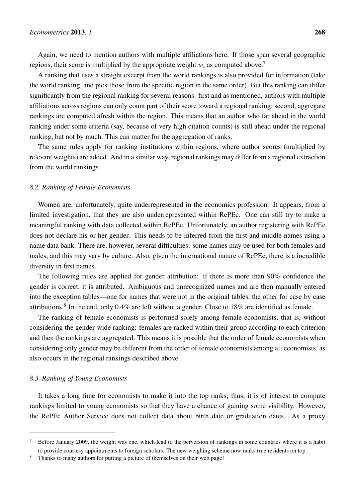Again, we need to mention authors with multiple affiliations here. If those span several geographic regions, their score is multiplied by the appropriate weight  $w_i$  as computed above.<sup>7</sup>

A ranking that uses a straight excerpt from the world rankings is also provided for information (take the world ranking, and pick those from the specific region in the same order). But this ranking can differ significantly from the regional ranking for several reasons: first and as mentioned, authors with multiple affiliations across regions can only count part of their score toward a regional ranking; second, aggregate rankings are computed afresh within the region. This means that an author who far ahead in the world ranking under some criteria (say, because of very high citation counts) is still ahead under the regional ranking, but not by much. This can matter for the aggregation of ranks.

The same rules apply for ranking institutions within regions, where author scores (multiplied by relevant weights) are added. And in a similar way, regional rankings may differ from a regional extraction from the world rankings.

# *8.2. Ranking of Female Economists*

Women are, unfortunately, quite underrepresented in the economics profession. It appears, from a limited investigation, that they are also underrepresented within RePEc. One can still try to make a meaningful ranking with data collected within RePEc. Unfortunately, an author registering with RePEc does not declare his or her gender. This needs to be inferred from the first and middle names using a name data bank. There are, however, several difficulties: some names may be used for both females and males, and this may vary by culture. Also, given the international nature of RePEc, there is a incredible diversity in first names.

The following rules are applied for gender attribution: if there is more than 90% confidence the gender is correct, it is attributed. Ambiguous and unrecognized names and are then manually entered into the exception tables—one for names that were not in the original tables, the other for case by case attributions.<sup>8</sup> In the end, only 0.4% are left without a gender. Close to 18% are identified as female.

The ranking of female economists is performed solely among female economists, that is, without considering the gender-wide ranking: females are ranked within their group according to each criterion and then the rankings are aggregated. This means it is possible that the order of female economists when considering only gender may be different from the order of female economists among all economists, as also occurs in the regional rankings described above.

# *8.3. Ranking of Young Economists*

It takes a long time for economists to make it into the top ranks; thus, it is of interest to compute rankings limited to young economists so that they have a chance of gaining some visibility. However, the RePEc Author Service does not collect data about birth date or graduation dates. As a proxy

<sup>&</sup>lt;sup>7</sup> Before January 2009, the weight was one, which lead to the perversion of rankings in some countries where it is a habit to provide courtesy appointments to foreign scholars. The new weighing scheme now ranks true residents on top.

<sup>&</sup>lt;sup>8</sup> Thanks to many authors for putting a picture of themselves on their web page!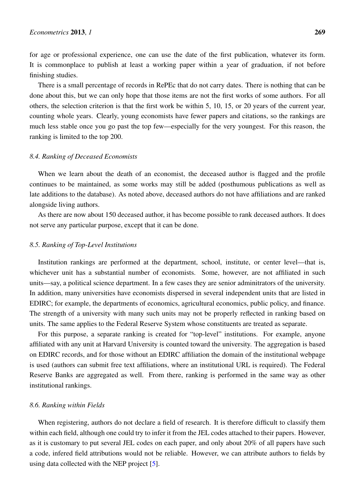for age or professional experience, one can use the date of the first publication, whatever its form. It is commonplace to publish at least a working paper within a year of graduation, if not before finishing studies.

There is a small percentage of records in RePEc that do not carry dates. There is nothing that can be done about this, but we can only hope that those items are not the first works of some authors. For all others, the selection criterion is that the first work be within 5, 10, 15, or 20 years of the current year, counting whole years. Clearly, young economists have fewer papers and citations, so the rankings are much less stable once you go past the top few—especially for the very youngest. For this reason, the ranking is limited to the top 200.

# *8.4. Ranking of Deceased Economists*

When we learn about the death of an economist, the deceased author is flagged and the profile continues to be maintained, as some works may still be added (posthumous publications as well as late additions to the database). As noted above, deceased authors do not have affiliations and are ranked alongside living authors.

As there are now about 150 deceased author, it has become possible to rank deceased authors. It does not serve any particular purpose, except that it can be done.

# *8.5. Ranking of Top-Level Institutions*

Institution rankings are performed at the department, school, institute, or center level—that is, whichever unit has a substantial number of economists. Some, however, are not affiliated in such units—say, a political science department. In a few cases they are senior adminitrators of the university. In addition, many universities have economists dispersed in several independent units that are listed in EDIRC; for example, the departments of economics, agricultural economics, public policy, and finance. The strength of a university with many such units may not be properly reflected in ranking based on units. The same applies to the Federal Reserve System whose constituents are treated as separate.

For this purpose, a separate ranking is created for "top-level" institutions. For example, anyone affiliated with any unit at Harvard University is counted toward the university. The aggregation is based on EDIRC records, and for those without an EDIRC affiliation the domain of the institutional webpage is used (authors can submit free text affiliations, where an institutional URL is required). The Federal Reserve Banks are aggregated as well. From there, ranking is performed in the same way as other institutional rankings.

# *8.6. Ranking within Fields*

When registering, authors do not declare a field of research. It is therefore difficult to classify them within each field, although one could try to infer it from the JEL codes attached to their papers. However, as it is customary to put several JEL codes on each paper, and only about 20% of all papers have such a code, infered field attributions would not be reliable. However, we can attribute authors to fields by using data collected with the NEP project [\[5\]](#page-30-4).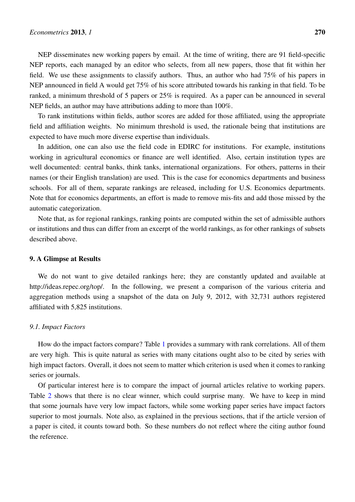NEP disseminates new working papers by email. At the time of writing, there are 91 field-specific NEP reports, each managed by an editor who selects, from all new papers, those that fit within her field. We use these assignments to classify authors. Thus, an author who had 75% of his papers in NEP announced in field A would get 75% of his score attributed towards his ranking in that field. To be ranked, a minimum threshold of 5 papers or 25% is required. As a paper can be announced in several NEP fields, an author may have attributions adding to more than 100%.

To rank institutions within fields, author scores are added for those affiliated, using the appropriate field and affiliation weights. No minimum threshold is used, the rationale being that institutions are expected to have much more diverse expertise than individuals.

In addition, one can also use the field code in EDIRC for institutions. For example, institutions working in agricultural economics or finance are well identified. Also, certain institution types are well documented: central banks, think tanks, international organizations. For others, patterns in their names (or their English translation) are used. This is the case for economics departments and business schools. For all of them, separate rankings are released, including for U.S. Economics departments. Note that for economics departments, an effort is made to remove mis-fits and add those missed by the automatic categorization.

Note that, as for regional rankings, ranking points are computed within the set of admissible authors or institutions and thus can differ from an excerpt of the world rankings, as for other rankings of subsets described above.

#### 9. A Glimpse at Results

We do not want to give detailed rankings here; they are constantly updated and available at http://ideas.repec.org/top/. In the following, we present a comparison of the various criteria and aggregation methods using a snapshot of the data on July 9, 2012, with 32,731 authors registered affiliated with 5,825 institutions.

# *9.1. Impact Factors*

How do the impact factors compare? Table [1](#page-22-0) provides a summary with rank correlations. All of them are very high. This is quite natural as series with many citations ought also to be cited by series with high impact factors. Overall, it does not seem to matter which criterion is used when it comes to ranking series or journals.

Of particular interest here is to compare the impact of journal articles relative to working papers. Table [2](#page-24-0) shows that there is no clear winner, which could surprise many. We have to keep in mind that some journals have very low impact factors, while some working paper series have impact factors superior to most journals. Note also, as explained in the previous sections, that if the article version of a paper is cited, it counts toward both. So these numbers do not reflect where the citing author found the reference.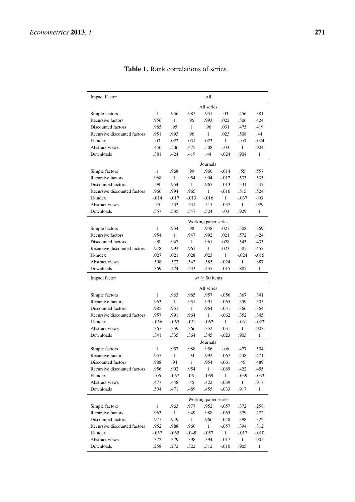<span id="page-22-0"></span>

| <b>Impact Factor</b>         |                      |                      |               | All                          |                         |                          |  |  |
|------------------------------|----------------------|----------------------|---------------|------------------------------|-------------------------|--------------------------|--|--|
|                              |                      |                      |               | All series                   |                         |                          |  |  |
| Simple factors               | $\mathbf{1}$         | .956                 | .985          | .951                         | .03                     | .456                     |  |  |
| Recursive factors            | .956                 | $\mathbf{1}$         | .95           | .993                         | .022                    | .506                     |  |  |
| Discounted factors           | .985                 | .95                  | 1             | .96                          | .031                    | .475                     |  |  |
| Recursive discounted factors | .951                 | .993                 | .96           | $\mathbf{1}$                 | .023                    | .508                     |  |  |
| H-index                      | .03                  | .022                 | .031          | .023                         | $\mathbf{1}$            | $-.03$                   |  |  |
| Abstract views               | .456                 | .506                 | .475          | .508                         | $-.03$                  | $\mathbf{1}$             |  |  |
| Downloads                    | .381                 | .424                 | .419          | .44                          | $-.024$                 | .904                     |  |  |
|                              |                      |                      |               | Journals                     |                         |                          |  |  |
| Simple factors               | $\mathbf{1}$         | .968                 | .99           | .966                         | $-.014$                 | .55                      |  |  |
| Recursive factors            | .968                 | $\mathbf{1}$         | .954          | .994                         | $-0.017$                | .533                     |  |  |
| Discounted factors           | .99                  | .954                 | $\mathbf{1}$  | .965                         | $-0.013$                | .531                     |  |  |
| Recursive discounted factors | .966                 | .994                 | .965          | $\mathbf{1}$                 | $-0.016$                | .515                     |  |  |
| H-index                      | $-.014$              | $-0.017$             | $-0.013$      | $-0.016$                     | $\mathbf{1}$            | $-.037$                  |  |  |
| Abstract views               | .55                  | .533                 | .531          | .515                         | $-.037$                 | $\mathbf{1}$             |  |  |
| Downloads                    | .557                 | .535                 | .547          | .524                         | $-.03$                  | .929                     |  |  |
|                              |                      |                      |               | Working paper series         |                         |                          |  |  |
| Simple factors               | $\mathbf{1}$         | .954                 | .98           | .948                         | .027                    | .508                     |  |  |
| Recursive factors            | .954                 | $\mathbf{1}$         | .947          | .992                         | .021                    | .572                     |  |  |
| Discounted factors           | .98                  | .947                 | $\mathbf{1}$  | .961                         | .028                    | .543                     |  |  |
| Recursive discounted factors | .948                 | .992                 | .961          | $\mathbf{1}$                 | .023                    | .585                     |  |  |
| H-index                      | .027                 | .021                 | .028          | .023                         | $\mathbf{1}$            | $-.024$                  |  |  |
| Abstract views               | .508                 | .572                 | .543          | .585                         | $-.024$                 | 1                        |  |  |
| Downloads                    | .369                 | .424                 | .433          | .457                         | $-0.015$                | .887                     |  |  |
| Impact factor                |                      |                      |               | $w \geq 50$ items            |                         |                          |  |  |
|                              |                      |                      |               | All series                   |                         |                          |  |  |
| Simple factors               | $\mathbf{1}$         | .963                 | .985          | .957                         | $-0.056$                | .367                     |  |  |
| Recursive factors            | .963                 | 1                    | .951          | .991                         | $-0.065$                | .359                     |  |  |
| Discounted factors           | .985                 | .951                 | $\mathbf{1}$  | .964                         | $-0.051$                | .366                     |  |  |
| Recursive discounted factors | .957                 | .991                 | .964          | $\mathbf{1}$                 | $-0.062$                | .352                     |  |  |
| H-index                      | $-0.056$             | $-.065$              | $-0.051$      | $-.062$                      | $\mathbf{1}$            | $-.031$                  |  |  |
| Abstract views               | .367                 | .359                 | .366          | .352                         | $-.031$                 | 1                        |  |  |
| Downloads                    | .341                 | .335                 | .364          | .345                         | $-0.023$                | .903                     |  |  |
| Simple factors               | 1                    | .957                 | .988          | Journals<br>.956             | $-.06$                  | .477                     |  |  |
| Recursive factors            | .957                 | $\mathbf{1}$         | .94           | .992                         | $-.067$                 | .448                     |  |  |
| Discounted factors           | .988                 | .94                  | 1             | .954                         | $-.061$                 | .45                      |  |  |
| Recursive discounted factors | .956                 | .992                 | .954          | $\mathbf{1}$                 | $-.069$                 | .422                     |  |  |
| H-index                      | $-.06$               | $-.067$              | $-.061$       | $-.069$                      | $\mathbf{1}$            | $-0.39$                  |  |  |
|                              |                      |                      |               |                              |                         |                          |  |  |
| Abstract views               | .477                 | .448                 | .45           | .422                         | $-.039$                 | $\mathbf{1}$             |  |  |
| Downloads                    | .504                 | .471                 | .489          | .455                         | $-0.033$                | .917                     |  |  |
| Simple factors               |                      |                      |               | Working paper series<br>.952 |                         |                          |  |  |
| Recursive factors            | $\mathbf{1}$<br>.963 | .963<br>$\mathbf{1}$ | .977          |                              | $-0.057$                | .372                     |  |  |
|                              |                      |                      | .949          | .988                         | $-0.065$                | .379                     |  |  |
| Discounted factors           | .977                 | .949                 | $\mathbf{1}$  | .966                         | $-.048$                 | .398                     |  |  |
| Recursive discounted factors | .952                 | .988                 | .966          | $\mathbf{1}$                 | $-0.057$                | .394                     |  |  |
|                              |                      |                      |               |                              |                         |                          |  |  |
| H-index<br>Abstract views    | $-0.057$<br>.372     | $-.065$<br>.379      | -.048<br>.398 | $-.057$<br>.394              | $\mathbf{1}$<br>$-.017$ | $-0.017$<br>$\mathbf{1}$ |  |  |

# Table 1. Rank correlations of series.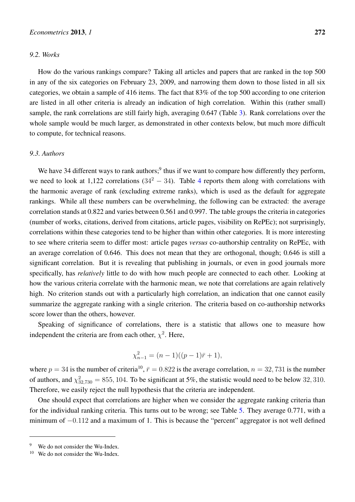#### *9.2. Works*

How do the various rankings compare? Taking all articles and papers that are ranked in the top 500 in any of the six categories on February 23, 2009, and narrowing them down to those listed in all six categories, we obtain a sample of 416 items. The fact that 83% of the top 500 according to one criterion are listed in all other criteria is already an indication of high correlation. Within this (rather small) sample, the rank correlations are still fairly high, averaging 0.647 (Table [3\)](#page-24-1). Rank correlations over the whole sample would be much larger, as demonstrated in other contexts below, but much more difficult to compute, for technical reasons.

# *9.3. Authors*

We have 34 different ways to rank authors;<sup>9</sup> thus if we want to compare how differently they perform, we need to look at 1,122 correlations  $(34^2 - 34)$  $(34^2 - 34)$  $(34^2 - 34)$ . Table 4 reports them along with correlations with the harmonic average of rank (excluding extreme ranks), which is used as the default for aggregate rankings. While all these numbers can be overwhelming, the following can be extracted: the average correlation stands at 0.822 and varies between 0.561 and 0.997. The table groups the criteria in categories (number of works, citations, derived from citations, article pages, visibility on RePEc); not surprisingly, correlations within these categories tend to be higher than within other categories. It is more interesting to see where criteria seem to differ most: article pages *versus* co-authorship centrality on RePEc, with an average correlation of 0.646. This does not mean that they are orthogonal, though; 0.646 is still a significant correlation. But it is revealing that publishing in journals, or even in good journals more specifically, has *relatively* little to do with how much people are connected to each other. Looking at how the various criteria correlate with the harmonic mean, we note that correlations are again relatively high. No criterion stands out with a particularly high correlation, an indication that one cannot easily summarize the aggregate ranking with a single criterion. The criteria based on co-authorship networks score lower than the others, however.

Speaking of significance of correlations, there is a statistic that allows one to measure how independent the criteria are from each other,  $\chi^2$ . Here,

$$
\chi_{n-1}^2 = (n-1)((p-1)\bar{r} + 1),
$$

where  $p = 34$  is the number of criteria<sup>10</sup>,  $\bar{r} = 0.822$  is the average correlation,  $n = 32, 731$  is the number of authors, and  $\chi_{32,730}^2 = 855, 104$ . To be significant at 5%, the statistic would need to be below 32, 310. Therefore, we easily reject the null hypothesis that the criteria are independent.

One should expect that correlations are higher when we consider the aggregate ranking criteria than for the individual ranking criteria. This turns out to be wrong; see Table [5.](#page-26-0) They average 0.771, with a minimum of −0.112 and a maximum of 1. This is because the "percent" aggregator is not well defined

<sup>&</sup>lt;sup>9</sup> We do not consider the Wu-Index.

 $10$  We do not consider the Wu-Index.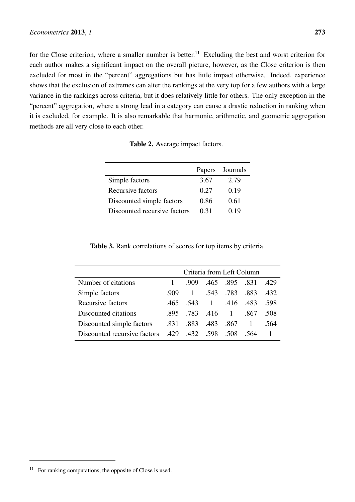for the Close criterion, where a smaller number is better.<sup>11</sup> Excluding the best and worst criterion for each author makes a significant impact on the overall picture, however, as the Close criterion is then excluded for most in the "percent" aggregations but has little impact otherwise. Indeed, experience shows that the exclusion of extremes can alter the rankings at the very top for a few authors with a large variance in the rankings across criteria, but it does relatively little for others. The only exception in the "percent" aggregation, where a strong lead in a category can cause a drastic reduction in ranking when it is excluded, for example. It is also remarkable that harmonic, arithmetic, and geometric aggregation methods are all very close to each other.

| Table 2. Average impact factors. |  |  |
|----------------------------------|--|--|
|----------------------------------|--|--|

<span id="page-24-0"></span>

|                              | Papers | Journals |
|------------------------------|--------|----------|
| Simple factors               | 3.67   | 2.79     |
| Recursive factors            | 0.27   | 0.19     |
| Discounted simple factors    | 0.86   | 0.61     |
| Discounted recursive factors | 0.31   | () 19    |

Table 3. Rank correlations of scores for top items by criteria.

<span id="page-24-1"></span>

|                                                 |      |              | Criteria from Left Column |             |      |      |
|-------------------------------------------------|------|--------------|---------------------------|-------------|------|------|
| Number of citations                             |      | .909         |                           | 465 895 831 |      | .429 |
| Simple factors                                  | .909 | $\mathbf{1}$ |                           | .543.783    | .883 | .432 |
| Recursive factors                               |      |              | .465 .543 1 .416          |             | .483 | .598 |
| Discounted citations                            | -895 |              | .783 .416 1               |             | .867 | .508 |
| Discounted simple factors                       | .831 |              | .883 .483 .867            |             |      | .564 |
| 598. 432 Discounted recursive factors .429 .432 |      |              |                           | -508        | -564 | 1    |

<sup>&</sup>lt;sup>11</sup> For ranking computations, the opposite of Close is used.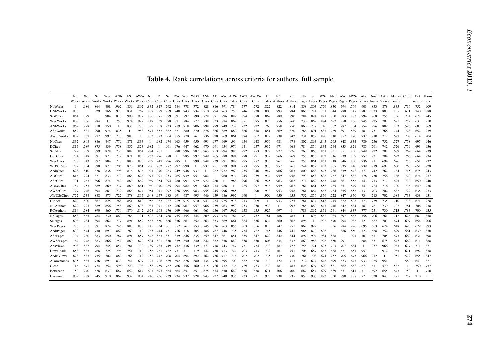| <b>Table 4.</b> Rank correlations across criteria for authors, full sample. |  |
|-----------------------------------------------------------------------------|--|
|-----------------------------------------------------------------------------|--|

<span id="page-25-0"></span>

|                  | Nb.  | DNb                                                                                                         | Sc   |      |      |      |      |      |                     |      |                          |                               |                                                        |           |      |                      |      |      | WSc ANb ASc AWSc Nb D Sc DSc WSc WDSc ANb AD ASc ADSc AWSc AWDSc H |      | NC.                                                                         | RC.  | Nb   |      |      |      |      |      |                |                |      | Sc WSc ANb ASc AWSc Abs Down AAbs ADown Close Bet Harm |      |            |                |
|------------------|------|-------------------------------------------------------------------------------------------------------------|------|------|------|------|------|------|---------------------|------|--------------------------|-------------------------------|--------------------------------------------------------|-----------|------|----------------------|------|------|--------------------------------------------------------------------|------|-----------------------------------------------------------------------------|------|------|------|------|------|------|------|----------------|----------------|------|--------------------------------------------------------|------|------------|----------------|
|                  |      | Works Works Works Works Works Works Works Cites Cites Cites Cites Cites Cites Cites Cites Cites Cites Cites |      |      |      |      |      |      |                     |      |                          |                               |                                                        |           |      |                      |      |      | Cites                                                              |      | Index Authors Authors Pages Pages Pages Pages Pages Pages Views loads Views |      |      |      |      |      |      |      |                |                |      | loads                                                  |      | weenn onic |                |
| <b>NbWorks</b>   |      | .986                                                                                                        | .864 | .808 | .962 | .859 | .802 |      |                     |      |                          |                               | .816 .791 .828 .818 .772 .784 .778 .832 .817           |           |      |                      | .784 | .777 | .772                                                               | .822 | .822                                                                        | .814 | .858 | .803 | .776 | .830 | .794 | .769 | .903           | .853           | .878 | .835                                                   | .716 | .752       | .909           |
| <b>DNbWorks</b>  | .986 |                                                                                                             | .829 | .766 | .978 | .831 | .767 | .808 |                     |      |                          | .734. 743. 748. 759. 759.     |                                                        |           |      | .810 .794 .763       | .753 | .746 | .738                                                               | .800 | .793                                                                        | .784 | .865 | .784 | .751 | .844 | .780 | .748 | .887           | .833           | .883 | .835                                                   | .671 | .740       | .888           |
| <b>ScWorks</b>   | .864 | .829                                                                                                        |      | .984 | .810 | .990 | .977 | .886 | .875                |      | .899 .891 .897           |                               | .890                                                   |           |      | .878 .871 .896       | .889 | .894 | .888                                                               | .867 | .889                                                                        | .890 | 784  | .894 | .891 | .750 | .883 | .883 | .794           | .768           | .755 | .736                                                   | .774 | .678       | .945           |
| WScWorks         | .808 | .766                                                                                                        | .984 |      | .750 | .974 | .992 | .847 | .839                |      | .878 .871 .884           |                               | .877                                                   | .838      |      | .833 .874            | .869 | .881 | .875                                                               | .825 | .856                                                                        | .860 | .730 | .862 | .874 | .697 | .850 | .866 | .745           | .725           | .702 | .691                                                   | .752 | .637       | .910           |
| <b>ANbWorks</b>  | .962 | .978                                                                                                        | .810 | .750 |      | .835 | .770 | .779 | .758                |      |                          | .733 .719 .718                | .706                                                   |           |      | .798.779.749         | .737 | .732 | .722                                                               | .768 | .758                                                                        | .750 | .860 | .777 | .746 | .862 | .787 | .754 | .854           | .796           | .889 | .833                                                   | .596 | .687       | .869           |
| <b>AScWorks</b>  | .859 | .831                                                                                                        | .990 | .974 | .835 |      | .983 | .871 | .857                |      | .882 .871 .880           |                               | .870                                                   |           |      | .876 .866 .889       | .880 | -886 | 878                                                                | .851 | .869                                                                        | .870 | .786 | .891 | .887 | .769 | .891 | .889 | .781           | .751           | .768 | .744                                                   | .723 | .652       | .939           |
| <b>AWScWorks</b> | .802 | .767                                                                                                        | .977 | .992 | .770 | .983 |      |      | .833.823            |      | .864 .855 .870           |                               | .861                                                   |           |      | .836 .828 .869       | .861 | .874 | .867                                                               | .812 | .838                                                                        | .842 | .731 | .859 | .870 | .710 | .857 | .870 | .732           | .710           | .712 | .697                                                   | .708 | .614       | .904           |
| <b>NbCites</b>   | .832 | .808                                                                                                        | .886 | .847 | .779 | .871 | .833 | -1   | .982                |      | .974 .963                | .959                          | .950                                                   |           |      | .991 .977 .969       | .96  | .954 | .948                                                               | .956 | .981                                                                        | .978 | .802 | .863 | .845 | .765 | .848 | .834 | .789           | .756           | .752 | .727                                                   | .758 | .697       | .946           |
| <b>DCites</b>    | .817 | .789                                                                                                        | .875 | .839 | .758 | .857 | .823 | .982 | - 1                 |      | .947 .976 .947           |                               | .962                                                   |           |      | .970 .991 .954       | .970 | .941 | .957                                                               | .937 | .971                                                                        | .968 | .784 | .850 | .834 | .744 | .833 | .821 | .785           | .761           | .742 | .726                                                   | .759 | .693       | .936           |
| <b>ScCites</b>   | .792 | .759                                                                                                        | .899 | .878 | .733 | .882 | .864 |      | .974 .961           | -1   | .988                     | .996                          | .987                                                   |           |      | .963 .953 .994       | .985 | .992 | .983                                                               | .927 | .972                                                                        | .976 | .768 | .866 | .861 | .731 | .851 | .850 | .749           | .722           | .708 | .689                                                   | .762 | .664       | .939           |
| <b>DScCites</b>  | .784 | .748                                                                                                        | .891 | .871 | .719 | .871 | .855 | .963 | .976.988            |      | -1                       | .985                          | .997                                                   | .949      |      | .965 .980            | .994 | .978 | .991                                                               | .919 | .966                                                                        | .969 | .755 | .856 | .852 | .716 | .839 | .839 | .752           | .731           | .704 | .692                                                   | .766 | .664       | .934           |
| WScCites         | .778 | .743                                                                                                        | .897 | .884 | .718 | .880 | .870 | .959 | .947 .996 .985      |      |                          | $\mathbf{1}$                  | .990                                                   | .948.939  |      | .991                 | .982 | .995 | 987                                                                | .915 | .961                                                                        | .966 | .755 | .861 | .861 | .718 | .846 | .850 | .736           | .711           | .694 | .676                                                   | .756 | .651       | .932           |
| WDScCites        | .772 | .734                                                                                                        | .890 | .877 | .706 | .870 | .861 |      | .950 .962           |      | .987 .997 .990           |                               |                                                        | .937      | .951 | .979                 | .991 | .983 | .995                                                               | .910 | .957                                                                        | .961 | .744 | .852 | .853 | .705 | .835 | .840 | .739           | .719           | .692 | .680                                                   | .760 | .65        | .928           |
| ANbCites         | .828 | .810                                                                                                        | .878 | .838 | .798 | .876 | .836 |      |                     |      | .948 .949 .963 .949 .948 |                               | .937                                                   |           | .982 | .972                 | .960 | .955 | .946                                                               | .947 | .966                                                                        | .963 | .809 | .863 | .845 | .786 | .859 | .842 | .777           | .742           | .762 | .734                                                   | .715 | .675       | .943           |
| <b>ADCites</b>   | .816 | .794                                                                                                        | .87  | .833 | .779 | .866 | .828 |      | .977 .991 .953 .965 |      |                          | .939                          | .951                                                   | .982      |      | .960                 | .974 | .945 | .959                                                               | .934 | .959                                                                        | .956 | .793 | .853 | .836 | .767 | .847 | .832 | .778           | .750           | .756 | .736                                                   | .720 | .674       | .937           |
| <b>AScCites</b>  | .791 | .763                                                                                                        | .896 | .874 | .749 | .889 | .869 | .969 | .954                |      | .994 .980 .991           |                               | .979                                                   | .972      | .960 |                      | .988 | .996 | .986                                                               | .925 | .963                                                                        | .967 | .774 | .869 | .863 | .748 | .861 | .858 | .743           | .713           | .717 | .695                                                   | .732 | .650       | .940           |
| ADScCites        | .784 | .753                                                                                                        | .889 | .869 | .737 | .880 | .861 |      |                     |      | .960 .970 .985 .994 .982 |                               | .991                                                   |           |      | .960 .974 .988       |      | .985 | .997                                                               | .918 | .959                                                                        | .962 | .764 | .861 | .856 | .735 | .851 | .849 | .747           | .724           | .716 | .700                                                   | .736 | .649       | .936           |
| <b>AWScCites</b> | .777 | .746                                                                                                        | .894 | .881 | .732 | .886 | .874 | .954 |                     |      | .941 .992 .978 .995      |                               | .983                                                   |           |      | .955 .945 .996       | .985 |      | .990                                                               | .913 | .953                                                                        | .958 | .761 | .864 | .863 | .734 | .855 | .858 | .731           | .703           | .702 | .682                                                   | .729 | .638       | .933           |
| AWDScCites       | .772 | .738                                                                                                        | .888 | .875 | .722 | .878 | .867 |      | .948.957            |      | .983 .991 .987           |                               | .995                                                   | .946 .959 |      | .986                 | .997 | .990 | -1                                                                 | .909 | .950                                                                        | .955 | .752 | .856 | .856 | .722 | .847 | .850 | .734           | .713           | .702 | .688                                                   | .733 | .638       | .931           |
| <b>HIndex</b>    | .822 | .800                                                                                                        | .867 | .825 | .768 | .851 | .812 |      | .956 .937           |      | .927 .919 .915           |                               | .910                                                   |           |      | .947 .934 .925       | .918 | .913 | .909                                                               |      | .933                                                                        | .925 | .781 | .834 | .818 | .745 | .822 | .808 | .773           | .739           | .735 | .710                                                   | .733 | .671       | .928           |
| <b>NCAuthors</b> | .822 | .793                                                                                                        | .889 | .856 | .758 | .869 | .838 |      |                     |      |                          | .981 .971 .972 .966 .961 .957 |                                                        |           |      | .966 .959 .963       | .959 | .953 | .950                                                               | .933 |                                                                             | .997 | .788 | .860 | .847 | .746 | .842 | .834 | .787           | .761           | .739 | .722                                                   | .781 | .706       | .938           |
| <b>RCAuthors</b> | .814 | .784                                                                                                        | .890 | .860 | .750 | .870 | .842 |      |                     |      |                          | .978 .968 .976 .969 .966 .961 |                                                        |           |      | .963 .956 .967       | .962 | .958 | .955                                                               | .925 | .997                                                                        |      | .783 | .862 | .851 | .741 | .844 | .837 | .777           | .751           | .730 | .713                                                   | .783 | .700       | .935           |
| <b>NbPages</b>   | .858 | .865                                                                                                        | .784 | .730 | .860 | .786 | .731 |      | .802 .784           | .768 | .755 .755                |                               | .744                                                   | .809      | .793 | .774                 | .764 | .761 | .752                                                               | .781 | .788                                                                        | .783 |      | .896 | .862 | .985 | .897 | .863 | .758           | .706           | .761 | .712                                                   | .626 | .687       | .858           |
| ScPages          | .803 | .784                                                                                                        | .894 | .862 | .777 | .891 | .859 |      |                     |      | .863 .850 .866 .856 .861 |                               | .852                                                   | .863      |      | .853 .869            | .861 | .864 | .856                                                               | .834 | .860                                                                        | .862 | .896 |      | .992 | .870 | .994 | .988 | .721           | .687           | .703 | .674                                                   | .697 | .654       | .906           |
| WScPages         | .776 | .751                                                                                                        | .891 | .874 | .746 | .887 | .870 |      | .845 .834           |      | .861 .852 .861           |                               | .853                                                   |           |      | .845 .836 .863       | .856 | .863 | .856                                                               | .818 | .847                                                                        | .851 | .862 | .992 |      | .836 | .984 | .996 | .695           | .663           | .674 | .648                                                   | .690 | .629       | .893           |
| ANbPages         | .830 | .844                                                                                                        | .750 | .697 | .862 | .769 | .710 |      |                     |      |                          | .705 .718 .716 .717 .705      |                                                        |           |      | .786 .767 .748       | .735 | .734 | .722                                                               | .745 | .746                                                                        | .741 | .985 | .870 | .836 |      | .888 | .850 | .723           | .668           | .752 | .699                                                   | .561 | .639       | .830           |
| AScPages         | .794 | .780                                                                                                        | .883 | .850 | .787 | .891 | .857 |      |                     |      |                          | .848 .833 .851 .839 .846 .835 |                                                        |           |      | .859 .847 .861       | .851 | .855 | .847                                                               | .822 | .842                                                                        | .844 | .897 | .994 | .984 | .888 | -1   | .991 | .707           | .671           | .705 | .673                                                   | .662 | .631       | .898           |
| AWScPages        | .769 | .748                                                                                                        | .883 | .866 | .754 | .889 | .870 |      |                     |      |                          | .834 .821 .850 .839 .850 .840 |                                                        |           |      | .842 .832 .858       | .849 | .858 | .850                                                               | .808 | .834                                                                        | .837 | .863 | .988 | .996 | .850 | .991 |      | .684           | .651           | .675 | .647                                                   | .662 | .611       | .888           |
| AbsViews         | .903 | .887                                                                                                        | .794 | .745 | .854 | .781 | .732 |      |                     |      |                          | .789 .785 .749 .752 .736      | .739                                                   | .777 .778 |      | .743                 | .747 | .731 | .734                                                               | .773 | .787                                                                        | .777 | .758 | .721 | .695 | .723 | .707 | .684 | $\overline{1}$ | .957           | .966 | .933                                                   | .677 | .711       | .871           |
| Downloads        | .853 | .833                                                                                                        | .768 | .725 | .796 | .751 | .710 |      |                     |      |                          |                               | 724. 713. 750. 742. 719. 711. 711. 722. 751. 756. 756. |           |      |                      |      | .703 | .713                                                               | .739 | .761                                                                        | .751 | .706 | .687 | .663 | .668 | .671 | .651 | .957           | $\overline{1}$ | .912 | .965                                                   | .671 | .692       | .838           |
| <b>AAbsViews</b> | .878 | .883                                                                                                        | .755 | .702 | .889 | .768 | .712 |      |                     |      |                          | .692 .694 .694 .708 .704 .752 |                                                        |           |      | .716. 717. 756. 762. |      | .702 | .702                                                               | .735 | .739                                                                        | .730 | .761 | .703 | .674 | .752 | .705 | .675 | .966           | .912           |      | .951                                                   | .579 | .655       | .847           |
| ADownloads       | .835 | .835                                                                                                        | .736 | .691 | .833 | .744 | .697 |      |                     |      |                          | .727 .726 .689 .692 .676 .680 |                                                        |           |      | .734 .736 .695       | .700 | .682 | .688                                                               | .710 | .722                                                                        | .713 | .712 | .674 | .648 | .699 | .673 | .647 | .933           | .965           | .951 |                                                        | .582 | .643       | .821           |
| Close            | .716 | .671                                                                                                        | .774 | .752 | .596 | .723 | .708 |      |                     |      |                          | .758 .759 .762 .766 .756 .758 |                                                        |           |      | .715 .720 .732       | .736 | .729 | .733                                                               | .733 | .781                                                                        | .783 | .626 | .697 | .690 | .561 | .662 | .662 | .677           | .671           | .579 | .582                                                   |      | .750       | .757           |
| Betweenn         | .752 | .740                                                                                                        | .678 | .637 | .687 | .652 | .614 |      |                     |      |                          |                               | .697 .693 .664 .651 .651 .675 .674 .650                |           |      |                      | .649 | .638 | .638                                                               | .671 | .706                                                                        | .700 | .687 | .654 | .629 | .639 | .631 | .611 | .711           | .692           | .655 | .643                                                   | .750 |            | .710           |
| Harmonic         | .909 | .888                                                                                                        | .945 | .910 | .869 | .939 | .904 |      |                     |      |                          | .928 .939 .934 .932 .928      |                                                        |           |      | .943 .937 .940       | .936 | .933 | .931                                                               | .928 | .938                                                                        | .935 | .858 | .906 | .893 | .830 | .898 | .888 | .871           | .838           | .847 | .821                                                   | .757 | .710       | $\overline{1}$ |
|                  |      |                                                                                                             |      |      |      |      |      |      |                     |      |                          |                               |                                                        |           |      |                      |      |      |                                                                    |      |                                                                             |      |      |      |      |      |      |      |                |                |      |                                                        |      |            |                |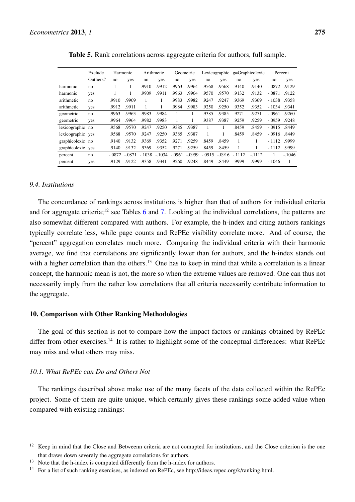<span id="page-26-0"></span>

|                   | Exclude   |          | Harmonic |          | Arithmetic |          | Geometric |          |          |         | Lexicographic g=Graphicolexic | Percent  |          |
|-------------------|-----------|----------|----------|----------|------------|----------|-----------|----------|----------|---------|-------------------------------|----------|----------|
|                   | Outliers? | no       | yes      | no       | yes        | no       | yes       | no       | yes      | no      | yes                           | no       | yes      |
| harmonic          | no        |          |          | .9910    | .9912      | .9963    | .9964     | .9568    | .9568    | .9140   | .9140                         | $-.0872$ | .9129    |
| harmonic          | yes       |          |          | .9909    | .9911      | .9963    | .9964     | .9570    | .9570    | .9132   | .9132                         | $-.0871$ | .9122    |
| arithmetic        | no        | .9910    | .9909    |          |            | .9983    | .9982     | .9247    | .9247    | .9369   | .9369                         | $-.1038$ | .9358    |
| arithmetic        | yes       | .9912    | .9911    |          |            | .9984    | .9983     | .9250    | .9250    | .9352   | .9352                         | $-.1034$ | .9341    |
| geometric         | no        | .9963    | .9963    | .9983    | .9984      |          |           | .9385    | .9385    | .9271   | .9271                         | $-.0961$ | .9260    |
| geometric         | yes       | .9964    | .9964    | .9982    | .9983      |          |           | .9387    | .9387    | .9259   | .9259                         | $-.0959$ | .9248    |
| lexicographic     | no        | .9568    | .9570    | .9247    | .9250      | .9385    | .9387     | 1        |          | .8459   | .8459                         | $-.0915$ | .8449    |
| lexicographic yes |           | .9568    | .9570    | .9247    | .9250      | .9385    | .9387     |          | 1        | .8459   | .8459                         | $-.0916$ | .8449    |
| graphicolexic no  |           | .9140    | .9132    | .9369    | .9352      | .9271    | .9259     | .8459    | .8459    | 1       |                               | $-1112$  | .9999    |
| graphicolexic yes |           | .9140    | .9132    | .9369    | .9352      | .9271    | .9259     | .8459    | .8459    | 1       |                               | $-1112$  | .9999    |
| percent           | no        | $-.0872$ | $-.0871$ | $-.1038$ | $-.1034$   | $-.0961$ | $-.0959$  | $-.0915$ | $-.0916$ | $-1112$ | $-1112$                       | 1        | $-.1046$ |
| percent           | yes       | .9129    | .9122    | .9358    | .9341      | .9260    | .9248     | .8449    | .8449    | .9999   | .9999                         | $-.1046$ |          |

Table 5. Rank correlations across aggregate criteria for authors, full sample.

#### *9.4. Institutions*

The concordance of rankings across institutions is higher than that of authors for individual criteria and for aggregate criteria;<sup>12</sup> see Tables [6](#page-27-0) and [7.](#page-28-0) Looking at the individual correlations, the patterns are also somewhat different compared with authors. For example, the h-index and citing authors rankings typically correlate less, while page counts and RePEc visibility correlate more. And of course, the "percent" aggregation correlates much more. Comparing the individual criteria with their harmonic average, we find that correlations are significantly lower than for authors, and the h-index stands out with a higher correlation than the others.<sup>13</sup> One has to keep in mind that while a correlation is a linear concept, the harmonic mean is not, the more so when the extreme values are removed. One can thus not necessarily imply from the rather low correlations that all criteria necessarily contribute information to the aggregate.

## 10. Comparison with Other Ranking Methodologies

The goal of this section is not to compare how the impact factors or rankings obtained by RePEc differ from other exercises.<sup>14</sup> It is rather to highlight some of the conceptual differences: what RePEc may miss and what others may miss.

### *10.1. What RePEc can Do and Others Not*

The rankings described above make use of the many facets of the data collected within the RePEc project. Some of them are quite unique, which certainly gives these rankings some added value when compared with existing rankings:

 $12$  Keep in mind that the Close and Betweenn criteria are not comupted for institutions, and the Close criterion is the one that draws down severely the aggregate correlations for authors.

<sup>&</sup>lt;sup>13</sup> Note that the h-index is computed differently from the h-index for authors.

<sup>14</sup> For a list of such ranking exercises, as indexed on RePEc, see http://ideas.repec.org/k/ranking.html.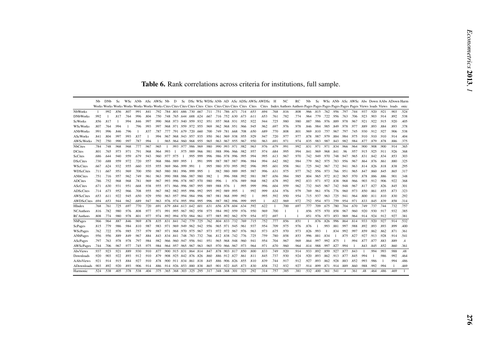#### Table 6. Rank correlations across criteria for institutions, full sample.

<span id="page-27-0"></span>

|                  | Nb.  | DN <sub>b</sub>                                                                                             | Sc.  |      |      |      | WSc ANb ASc AWSc Nb D                        |              |                           |    |                                    |                                                             |      |                     |      |                                                                 |      | Sc DSc WSc WDSc ANb AD ASc ADSc AWSc AWDSc H |      | NC   | RC                                                                                | Nb   |      |                           |           |              |                                |      |      |      | Sc WSc ANb ASc AWSc Abs Down AAbs ADown Harm |               |
|------------------|------|-------------------------------------------------------------------------------------------------------------|------|------|------|------|----------------------------------------------|--------------|---------------------------|----|------------------------------------|-------------------------------------------------------------|------|---------------------|------|-----------------------------------------------------------------|------|----------------------------------------------|------|------|-----------------------------------------------------------------------------------|------|------|---------------------------|-----------|--------------|--------------------------------|------|------|------|----------------------------------------------|---------------|
|                  |      | Works Works Works Works Works Works Works Cites Cites Cites Cites Cites Cites Cites Cites Cites Cites Cites |      |      |      |      |                                              |              |                           |    |                                    |                                                             |      |                     |      |                                                                 |      | Cites                                        |      |      | Index Authors Authors Pages Pages Pages Pages Pages Pages Views loads Views loads |      |      |                           |           |              |                                |      |      |      |                                              | onic          |
| <b>NbWorks</b>   | -1   | .992                                                                                                        | .856 | .807 | .991 | .841 |                                              |              |                           |    |                                    |                                                             |      |                     |      | .792 .714 .653 .751 .751 .751 .751 .751 .792 .801 .801 .804     |      | .694                                         | .768 | .816 | .808                                                                              |      |      |                           |           |              | .744. 797. 956. 762. 815. 966. | .937 | .920 | .921 | .903                                         | .524          |
| <b>DNbWorks</b>  | .992 |                                                                                                             | .817 | .764 | .996 | .804 |                                              |              |                           |    |                                    |                                                             |      |                     |      | .611 673. 630 673. 716. 757. 667. 624. 688. 644. 756. 748. 750. |      | .653                                         | .761 | .782 | .774                                                                              | .964 |      | .779. 722. 956. 763. 779. |           |              |                                | .923 | .903 | .914 | .892                                         | .538          |
| <b>ScWorks</b>   | .856 | .817                                                                                                        |      | .994 | .846 | .997 | .990                                         |              |                           |    |                                    | .952 .951 .968 .973 .940 .959 .932 .951 .951 .957 .968 .973 |      |                     |      |                                                                 | .922 | .944                                         | .725 | .980 | .980                                                                              | .887 | .986 | .976 .889                 |           | .978         | .967                           | .921 | .922 | .915 | .920                                         | .405          |
| <b>WScWorks</b>  | .807 | .764                                                                                                        | .994 |      | .796 | .993 | .997                                         |              |                           |    |                                    | .968 .971 .959 .972 .955 .969 .962 .968 .951                |      |                     |      | .966                                                            | .945 | .962                                         | .697 | .976 | .978                                                                              | .846 | .984 | .985                      | .849      | .978         | .977                           | .889 | .893 | .884 | .893                                         | .378          |
| <b>ANbWorks</b>  | .991 | .996                                                                                                        | .846 | .796 |      | .837 | .787                                         |              |                           |    | .777 .791 .679 .720 .660           | .700.749.781                                                |      |                     | .668 | .708                                                            | .650 | .689                                         | .770 | .808 | .801                                                                              | .969 | .810 | .757                      | .967      | .797         | .745                           | .930 | .912 | .927 | .906                                         | .538          |
| <b>AScWorks</b>  | .841 | .804                                                                                                        | .997 | .993 | .837 |      | .994                                         |              |                           |    |                                    | .969, 961, 969, 952, 957, 959, 969, 967, 968                |      |                     | .938 | .955                                                            | .929 | .947                                         | .720 | .977 | .977                                                                              | .878 | .987 | .979                      | .884.984  |              | .975                           | .910 | .910 | .910 | .914                                         | .404          |
| <b>AWScWorks</b> | .792 | .750                                                                                                        | .990 | .997 | .787 | .994 |                                              |              |                           |    | .965 .964 .960 .968 .955           | .965                                                        |      | .963 .967 .955      |      | .967                                                            | .950 | .963                                         | .691 | .971 | .974                                                                              | .835 | .983 | .987                      | .843      | .982         | .984                           | .877 | .879 | .878 | .886                                         | .375          |
| <b>NbCites</b>   | .784 | .748                                                                                                        | .968 | .968 | .777 | .967 | .965                                         | $\mathbf{1}$ |                           |    | .993 .977 .986 .969                | .980                                                        |      |                     |      | .990 .993 .971 .982                                             | .963 | .976                                         | .679 | .991 | .992                                                                              | .831 | .971 | .971                      | .834      | .966         | .964                           | .900 | .908 | .900 | .914                                         | .365          |
| <b>DCites</b>    | .801 | .765                                                                                                        | .973 | .971 | .791 | .968 | .964                                         | .993         | -1                        |    | .975 .989 .966 .981                |                                                             |      |                     |      | .988 .996 .966 .982                                             | .957 | .974                                         | .684 | .995 | .994                                                                              | .841 | .969 | .968                      | .841      | .96          | .957                           | .915 | .925 | .911 | .926                                         | .368          |
| <b>ScCites</b>   | .686 | .644                                                                                                        | .940 | .959 | .679 | .943 | .960 .977 .975                               |              |                           | -1 |                                    | .995, 996, 978, 986, 996, 999, 995                          |      |                     |      |                                                                 | .994 | .995                                         | .613 | .967 | .970                                                                              |      |      | .742 .949 .970 .748 .947  |           |              | .965                           | .831 | .842 | .834 | .853                                         | .303          |
| <b>DScCites</b>  | .730 | .688                                                                                                        | .959 | .972 | .720 | .957 | .968                                         |              | .986 .989 .995            |    |                                    | 1 .991 .999 .987 .987 .987 .996                             |      |                     |      |                                                                 | .984 | .994                                         | .642 | .982 | .984                                                                              | .779 |      | .962 .975 .783 .956 .967  |           |              |                                | .864 | .876 | .861 | .880                                         | .325          |
| WScCites         | .667 | .624                                                                                                        | .932 | .955 | .660 | .935 | .955                                         |              | .969 .966 .999 .991       |    | $\overline{1}$                     | .995                                                        |      | .980 .970 .995      |      | .992                                                            | .996 | .995                                         | .601 | .958 | .961                                                                              | .725 |      | .942 .967 .732 .941       |           |              | .963                           | .814 | .826 | .818 | .838                                         | .295          |
| WDScCites        | .711 | .667                                                                                                        | .951 | .969 | .700 | .950 | .965                                         |              | .980 .981 .996 .999 .995  |    |                                    | -1.                                                         |      | .982 .980 .989      |      | .995                                                            | .987 | .996                                         | .631 | .975 | .977                                                                              | .762 |      | .956 .973 .766 .951       |           |              | .965                           | .847 | .860 | .845 | .865                                         | .317          |
| ANbCites         | .751 | .716                                                                                                        | .957 | .962 | .749 | .961 | .963                                         |              |                           |    | .980, 987, 986, 988, 990,          | .982                                                        |      | .996                | .988 | .992                                                            | .981 | .987                                         | .656 | .984 | .985                                                                              | .804 | .965 | .972 .812 .965            |           |              | .970                           | .878 | .886 | .886 | .901                                         | .348          |
| <b>ADCites</b>   | .786 | .752                                                                                                        | .968 | .968 | .781 | .969 | .967                                         |              |                           |    | .980 .993 .996 .978 .987 .970 .980 |                                                             | .996 | -1                  | .976 | .989                                                            | .968 | .982                                         | .678 | .992 | .992                                                                              | .833 | .971 | .972                      | .838.968  |              | .966                           | .903 | .912 | .906 | .922                                         | .368          |
| <b>AScCites</b>  | .671 | .630                                                                                                        | .931 | .951 | .668 | .938 | .955                                         |              |                           |    | .989, 995, 996, 996, 996, 971.     |                                                             |      | .988.976            |      | .995                                                            | .999 | .996                                         | .604 | .959 | .962                                                                              | .732 | .945 | .967                      | .742.948  |              | .967                           | .817 | .827 | .826 | .845                                         | .301          |
| ADScCites        | .714 | .673                                                                                                        | .952 | .966 | .708 | .955 | .967                                         |              |                           |    | .982 .982 .995 .996 .992 .995      |                                                             |      | .992.989            | .995 |                                                                 | .992 | .999                                         | .634 | .976 | .979                                                                              | .769 | .961 | .976                      | .776 .960 |              | .973                           | .850 | .861 | .855 | .873                                         | .323          |
| AWScCites        | .653 | .611                                                                                                        | .922 | .945 | .650 | .929 | .950                                         |              | .963 .957 .994 .984 .996  |    |                                    | .987                                                        | .981 | .968                | .999 | .992                                                            |      | 995                                          | .592 | .950 | .954                                                                              | .715 | .937 | .963                      | .725      | .941         | .964                           | .800 | .811 | .810 | .830                                         | .292          |
| AWDScCites .694  |      | .653                                                                                                        | .944 | .962 | .689 | .947 | .963                                         |              |                           |    |                                    | .976 .974 .995 .994 .995 .996 .987 .982 .996                |      |                     |      | .999                                                            | .995 |                                              | .622 | .969 | .972                                                                              | .752 | .954 | .973                      | .759.954  |              | .971                           | .833 | .845 | .839 | .858                                         | .314          |
| <b>HIndex</b>    | .768 | .761                                                                                                        | .725 | .697 | .770 | .720 | .691                                         |              | .679 .684 .613 .642 .601  |    |                                    | .631                                                        |      | .656 .678 .604      |      | .634                                                            | .592 | .622                                         |      | .700 | .697                                                                              | .777 | .709 | .675                      | .780.704  |              | .670                           | .749 | .737 | .744 | .732                                         | .757          |
| <b>NCAuthors</b> | .816 | .782                                                                                                        | .980 | .976 | .808 | .977 |                                              |              |                           |    |                                    | .971 .991 .995 .967 .982 .958 .975 .984 .992 .959 .976      |      |                     |      |                                                                 | .950 | .969                                         | .700 |      |                                                                                   |      |      | .856 .975 .970 .858 .967  |           |              | .960                           | .920 | .930 | .917 | .932                                         | .385          |
| <b>RCAuthors</b> | .808 | .774                                                                                                        | .980 | .978 | .801 | .977 |                                              |              |                           |    |                                    | .979 .962 .992 .985 .977 .981 .961 .977 .985 .992 .994 .974 |      |                     |      |                                                                 | .954 | .972                                         | .697 |      |                                                                                   | .851 |      | .976 .973 .853 .969       |           |              | .964                           | .914 | .924 | .912 | .927                                         | .381          |
| <b>NbPages</b>   | .966 | .964                                                                                                        | .887 | .846 | .969 | .878 | .835                                         |              |                           |    |                                    | .831 .841 .742 .779 .725 .762 .804 .833 .732 .841           |      |                     |      |                                                                 | .715 | .752                                         | .777 | .856 | .851                                                                              |      | .876 | .826                      | .996      | .864         | .814                           | .933 | .920 | .927 | .914                                         | .532          |
| ScPages          | .815 | .779                                                                                                        | .986 | .984 | .810 | .987 | .983                                         |              |                           |    |                                    | .945 .971 .969 .962 .942 .956 .965 .971 .945                |      |                     |      | .961                                                            | .937 | .954                                         | .709 | .975 | .976                                                                              | .876 |      | .993                      | .881      | .997         | .988                           | .892 | .893 | .893 | .899                                         | .400          |
| WScPages         | .762 | .722                                                                                                        | .976 | .985 | .757 | .979 | .987                                         |              |                           |    |                                    | .972 .972 .973 .973 .972 .972 .974 .978 .974                |      |                     |      | .976                                                            | .963 | .973                                         | .675 | .970 | .973                                                                              | .826 | .993 |                           | .834      | .992         | .997                           | .859 | .862 | .862 | .871                                         | .361          |
| ANbPages         | .956 | .956                                                                                                        | .889 | .849 | .967 | .884 | .843                                         |              |                           |    |                                    | .838, 812, 838, 742, 756, 752, 753, 841, 841, 834.          |      |                     |      | .776                                                            | .725 | .759                                         | .780 | .858 | .853                                                                              | .996 | .881 | .834                      | 1         | .875         | .827                           | .927 | .913 | .928 | .914                                         | .541          |
| AScPages         | .797 | .763                                                                                                        | .978 | .978 | .797 | .984 | .982                                         |              | .941, 956, 947, 960, 966. |    |                                    | .951                                                        |      | .965 .968 .948      |      | .960                                                            | .941 | .954                                         | .704 | .967 | .969                                                                              | .864 | .997 | .992                      | .875      | $\mathbf{1}$ | .994                           | .877 | .877 | .883 | .889                                         | $\mathcal{A}$ |
| AWScPages        | .744 | .706                                                                                                        | .967 | .977 | .745 | .975 | .984                                         |              |                           |    | .964 .957 .965 .967 .963 .965      |                                                             |      | .970 .966 .967      |      | .973                                                            | .964 | .971                                         | .670 | .960 | .964                                                                              | .814 | .988 | .997                      | .827      | .994         |                                | .843 | .845 | .852 | .860                                         | .361          |
| AbsViews         | .937 | .923                                                                                                        | .921 | .889 | .930 | .910 | .877                                         |              |                           |    | .900 .915 .831 .864 .814 .847      |                                                             |      | .878 .903 .817      |      | .850                                                            | .800 | .833                                         | .749 | .920 | .914                                                                              | .933 | .892 | .859                      | .927      | .877         | .843                           |      | .994 | .993 | .988                                         | .48           |
| Downloads        | .920 | .903                                                                                                        | .922 | .893 | .912 | .910 | .879                                         |              |                           |    |                                    | .908 .925 .842 .876 .826 .860                               |      | .886 .912 .827 .861 |      |                                                                 | .811 | .845                                         | .737 | .930 | .924                                                                              | .920 | .893 | .862 .913 .877            |           |              | .845                           | .994 |      | .986 | .992                                         | .464          |
| AAbsViews        | .921 | .914                                                                                                        | .915 | .884 | .927 | .910 |                                              |              |                           |    |                                    | 85. 826. 906. 806. 845. 818. 818. 845. 900. 878. 878.       |      |                     |      |                                                                 | .810 | .839                                         | .744 | .917 | .912                                                                              | .927 |      | .893 .862 .928 .883       |           |              | .852                           | .993 | .986 |      | .994                                         | .486          |
| ADownloads       | .903 | .892                                                                                                        | .920 | .893 | .906 | .914 |                                              |              |                           |    |                                    | 873. 845. 922. 901. 855. 880. 838. 880. 914. 886. 914. 886. |      |                     |      |                                                                 | .830 | .858                                         | .732 | .932 | .927                                                                              |      |      | .914 .899 .871 .914 .889  |           |              | .860                           | .988 | .992 | .994 |                                              | .469          |
| Harmonic         | .524 | .538                                                                                                        | .405 | .378 | .538 | .404 | .375 .361 .368 .368 .317 .348 .368 .301 .323 |              |                           |    |                                    |                                                             |      |                     |      |                                                                 | .292 | .314                                         | .757 | .385 | .381                                                                              | .532 |      | .400 .361 .541            |           | .4           | .361                           | .48  | .464 | .486 | .469                                         | $\mathbf{1}$  |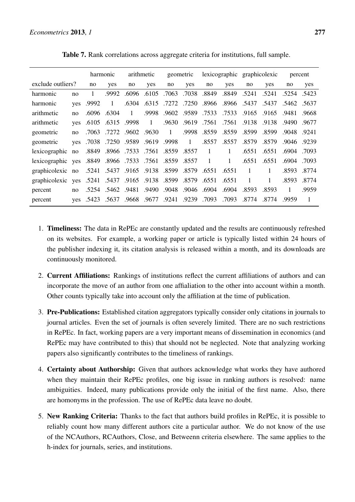<span id="page-28-0"></span>

|                                                             |            |              | harmonic     | arithmetic                          |                |                | geometric         |                                                     | lexicographic graphicolexic  |                |       | percent        |                |  |
|-------------------------------------------------------------|------------|--------------|--------------|-------------------------------------|----------------|----------------|-------------------|-----------------------------------------------------|------------------------------|----------------|-------|----------------|----------------|--|
| exclude outliers?                                           |            | no           | yes          | no                                  | yes            | no             | yes               | no                                                  | yes                          | no             | yes   | no             | yes            |  |
| harmonic                                                    | no         | $\mathbf{1}$ | .9992        | .6096                               | .6105          | .7063          |                   | .7038.8849                                          | .8849                        | .5241          | .5241 | .5254          | .5423          |  |
| harmonic                                                    | yes        | .9992        | $\mathbf{1}$ | .6304                               | .6315          |                |                   | .7272 .7250 .8966                                   |                              | .8966.5437     | .5437 | .5462.5637     |                |  |
| arithmetic                                                  | no         | .6096        | .6304        | $\overline{1}$                      | .9998          |                |                   |                                                     | .9165 7533. 7533 9165. 9602. |                | .9165 | .9481          | .9668          |  |
| arithmetic                                                  | yes        | .6105        | .6315        | .9998                               | $\overline{1}$ |                | .9630 .9619 .7561 |                                                     | .7561                        | .9138          | .9138 | .9490          | .9677          |  |
| geometric                                                   | no         |              |              | .7063 .7272 .9602 .7063             |                | $\overline{1}$ |                   | .9998. .8559                                        | .8559                        | .8599          | .8599 | .9048.9241     |                |  |
| geometric                                                   | <b>ves</b> |              |              | .7038 .7250 .9589 .9619 .9998       |                |                | $\boxed{1}$       | .8557                                               | .8557                        | .8579          | .8579 | .9046          | .9239          |  |
| lexicographic                                               | no         |              |              | .8559 .8966 .7533 .7561 .8559 .8849 |                |                |                   | $\sim$ 1                                            | 1                            | .6551          | .6551 | .6904          | .7093          |  |
| lexicographic yes                                           |            |              |              | 8557. 8559. 7561. 7533. 8849. 8849. |                |                |                   | $\blacksquare$                                      | 1                            | .6551          | .6551 | .6904          | .7093          |  |
| graphicolexic no                                            |            |              |              | .5241 .5437 .9138 .8599 .8579 .6551 |                |                |                   |                                                     | .6551                        | 1              |       | .8593          | .8774          |  |
| graphicolexic yes .5241 .5437 .9165 .9138 .8599 .8579 .6551 |            |              |              |                                     |                |                |                   |                                                     | .6551                        | $\overline{1}$ |       | .8593          | .8774          |  |
| percent                                                     | no         | .5254        |              | .5462.9481                          | .9490          | .9048          |                   | .9046. .6904                                        | .6904                        | .8593          | .8593 | $\overline{1}$ | .9959          |  |
| percent                                                     |            |              |              |                                     |                |                |                   | 7093. 7093. 9677. 9241. 9241. 9247. 5637. 5423. yes |                              | .8774          | .8774 | .9959          | $\overline{1}$ |  |

Table 7. Rank correlations across aggregate criteria for institutions, full sample.

- 1. Timeliness: The data in RePEc are constantly updated and the results are continuously refreshed on its websites. For example, a working paper or article is typically listed within 24 hours of the publisher indexing it, its citation analysis is released within a month, and its downloads are continuously monitored.
- 2. Current Affiliations: Rankings of institutions reflect the current affiliations of authors and can incorporate the move of an author from one affialiation to the other into account within a month. Other counts typically take into account only the affiliation at the time of publication.
- 3. Pre-Publications: Established citation aggregators typically consider only citations in journals to journal articles. Even the set of journals is often severely limited. There are no such restrictions in RePEc. In fact, working papers are a very important means of dissemination in economics (and RePEc may have contributed to this) that should not be neglected. Note that analyzing working papers also significantly contributes to the timeliness of rankings.
- 4. Certainty about Authorship: Given that authors acknowledge what works they have authored when they maintain their RePEc profiles, one big issue in ranking authors is resolved: name ambiguities. Indeed, many publications provide only the initial of the first name. Also, there are homonyms in the profession. The use of RePEc data leave no doubt.
- 5. New Ranking Criteria: Thanks to the fact that authors build profiles in RePEc, it is possible to reliably count how many different authors cite a particular author. We do not know of the use of the NCAuthors, RCAuthors, Close, and Betweenn criteria elsewhere. The same applies to the h-index for journals, series, and institutions.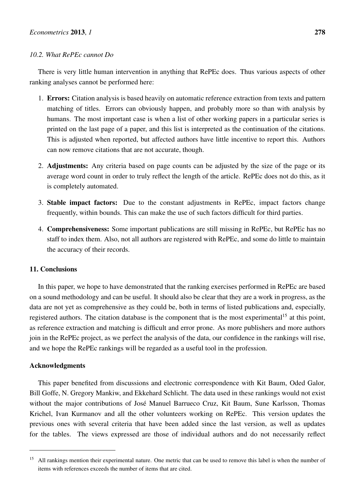# *10.2. What RePEc cannot Do*

There is very little human intervention in anything that RePEc does. Thus various aspects of other ranking analyses cannot be performed here:

- 1. Errors: Citation analysis is based heavily on automatic reference extraction from texts and pattern matching of titles. Errors can obviously happen, and probably more so than with analysis by humans. The most important case is when a list of other working papers in a particular series is printed on the last page of a paper, and this list is interpreted as the continuation of the citations. This is adjusted when reported, but affected authors have little incentive to report this. Authors can now remove citations that are not accurate, though.
- 2. Adjustments: Any criteria based on page counts can be adjusted by the size of the page or its average word count in order to truly reflect the length of the article. RePEc does not do this, as it is completely automated.
- 3. Stable impact factors: Due to the constant adjustments in RePEc, impact factors change frequently, within bounds. This can make the use of such factors difficult for third parties.
- 4. Comprehensiveness: Some important publications are still missing in RePEc, but RePEc has no staff to index them. Also, not all authors are registered with RePEc, and some do little to maintain the accuracy of their records.

# 11. Conclusions

In this paper, we hope to have demonstrated that the ranking exercises performed in RePEc are based on a sound methodology and can be useful. It should also be clear that they are a work in progress, as the data are not yet as comprehensive as they could be, both in terms of listed publications and, especially, registered authors. The citation database is the component that is the most experimental<sup>15</sup> at this point, as reference extraction and matching is difficult and error prone. As more publishers and more authors join in the RePEc project, as we perfect the analysis of the data, our confidence in the rankings will rise, and we hope the RePEc rankings will be regarded as a useful tool in the profession.

# Acknowledgments

This paper benefited from discussions and electronic correspondence with Kit Baum, Oded Galor, Bill Goffe, N. Gregory Mankiw, and Ekkehard Schlicht. The data used in these rankings would not exist without the major contributions of José Manuel Barrueco Cruz, Kit Baum, Sune Karlsson, Thomas Krichel, Ivan Kurmanov and all the other volunteers working on RePEc. This version updates the previous ones with several criteria that have been added since the last version, as well as updates for the tables. The views expressed are those of individual authors and do not necessarily reflect

<sup>&</sup>lt;sup>15</sup> All rankings mention their experimental nature. One metric that can be used to remove this label is when the number of items with references exceeds the number of items that are cited.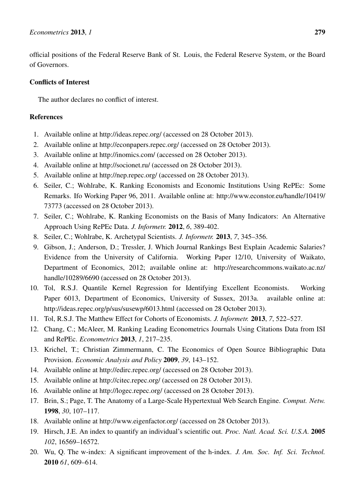official positions of the Federal Reserve Bank of St. Louis, the Federal Reserve System, or the Board of Governors.

# Conflicts of Interest

The author declares no conflict of interest.

# References

- <span id="page-30-0"></span>1. Available online at http://ideas.repec.org/ (accessed on 28 October 2013).
- <span id="page-30-1"></span>2. Available online at http://econpapers.repec.org/ (accessed on 28 October 2013).
- <span id="page-30-2"></span>3. Available online at http://inomics.com/ (accessed on 28 October 2013).
- <span id="page-30-3"></span>4. Available online at http://socionet.ru/ (accessed on 28 October 2013).
- <span id="page-30-4"></span>5. Available online at http://nep.repec.org/ (accessed on 28 October 2013).
- <span id="page-30-5"></span>6. Seiler, C.; Wohlrabe, K. Ranking Economists and Economic Institutions Using RePEc: Some Remarks. Ifo Working Paper 96, 2011. Available online at: http://www.econstor.eu/handle/10419/ 73773 (accessed on 28 October 2013).
- 7. Seiler, C.; Wohlrabe, K. Ranking Economists on the Basis of Many Indicators: An Alternative Approach Using RePEc Data. *J. Informetr.* 2012, *6*, 389-402.
- <span id="page-30-6"></span>8. Seiler, C.; Wohlrabe, K. Archetypal Scientists. *J. Informetr.* 2013, *7*, 345–356.
- <span id="page-30-7"></span>9. Gibson, J.; Anderson, D.; Tressler, J. Which Journal Rankings Best Explain Academic Salaries? Evidence from the University of California. Working Paper 12/10, University of Waikato, Department of Economics, 2012; available online at: http://researchcommons.waikato.ac.nz/ handle/10289/6690 (accessed on 28 October 2013).
- <span id="page-30-8"></span>10. Tol, R.S.J. Quantile Kernel Regression for Identifying Excellent Economists. Working Paper 6013, Department of Economics, University of Sussex, 2013a. available online at: http://ideas.repec.org/p/sus/susewp/6013.html (accessed on 28 October 2013).
- <span id="page-30-9"></span>11. Tol, R.S.J. The Matthew Effect for Cohorts of Economists. *J. Informetr.* 2013, *7*, 522–527.
- <span id="page-30-10"></span>12. Chang, C.; McAleer, M. Ranking Leading Econometrics Journals Using Citations Data from ISI and RePEc. *Econometrics* 2013, *1*, 217–235.
- <span id="page-30-11"></span>13. Krichel, T.; Christian Zimmermann, C. The Economics of Open Source Bibliographic Data Provision. *Economic Analysis and Policy* 2009, *39*, 143–152.
- <span id="page-30-12"></span>14. Available online at http://edirc.repec.org/ (accessed on 28 October 2013).
- <span id="page-30-13"></span>15. Available online at http://citec.repec.org/ (accessed on 28 October 2013).
- <span id="page-30-14"></span>16. Available online at http://logec.repec.org/ (accessed on 28 October 2013).
- <span id="page-30-15"></span>17. Brin, S.; Page, T. The Anatomy of a Large-Scale Hypertextual Web Search Engine. *Comput. Netw.* 1998, *30*, 107–117.
- <span id="page-30-16"></span>18. Available online at http://www.eigenfactor.org/ (accessed on 28 October 2013).
- <span id="page-30-17"></span>19. Hirsch, J.E. An index to quantify an individual's scientific out. *Proc. Natl. Acad. Sci. U.S.A.* 2005 *102*, 16569–16572.
- <span id="page-30-18"></span>20. Wu, Q. The w-index: A significant improvement of the h-index. *J. Am. Soc. Inf. Sci. Technol.* 2010 *61*, 609–614.